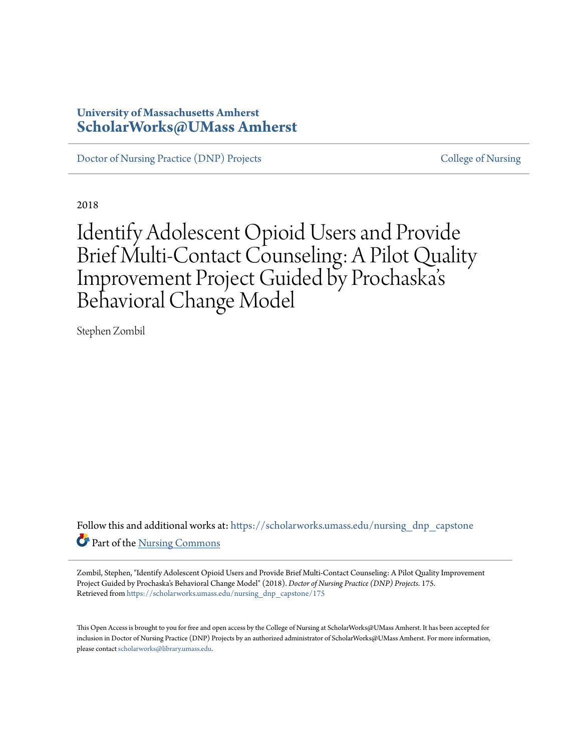# **University of Massachusetts Amherst [ScholarWorks@UMass Amherst](https://scholarworks.umass.edu?utm_source=scholarworks.umass.edu%2Fnursing_dnp_capstone%2F175&utm_medium=PDF&utm_campaign=PDFCoverPages)**

[Doctor of Nursing Practice \(DNP\) Projects](https://scholarworks.umass.edu/nursing_dnp_capstone?utm_source=scholarworks.umass.edu%2Fnursing_dnp_capstone%2F175&utm_medium=PDF&utm_campaign=PDFCoverPages) [College of Nursing](https://scholarworks.umass.edu/nursing?utm_source=scholarworks.umass.edu%2Fnursing_dnp_capstone%2F175&utm_medium=PDF&utm_campaign=PDFCoverPages)

2018

# Identify Adolescent Opioid Users and Provide Brief Multi-Contact Counseling: A Pilot Quality Improvement Project Guided by Prochaska s ' Behavioral Change Model

Stephen Zombil

Follow this and additional works at: [https://scholarworks.umass.edu/nursing\\_dnp\\_capstone](https://scholarworks.umass.edu/nursing_dnp_capstone?utm_source=scholarworks.umass.edu%2Fnursing_dnp_capstone%2F175&utm_medium=PDF&utm_campaign=PDFCoverPages) Part of the [Nursing Commons](http://network.bepress.com/hgg/discipline/718?utm_source=scholarworks.umass.edu%2Fnursing_dnp_capstone%2F175&utm_medium=PDF&utm_campaign=PDFCoverPages)

Zombil, Stephen, "Identify Adolescent Opioid Users and Provide Brief Multi-Contact Counseling: A Pilot Quality Improvement Project Guided by Prochaska's Behavioral Change Model" (2018). *Doctor of Nursing Practice (DNP) Projects*. 175. Retrieved from [https://scholarworks.umass.edu/nursing\\_dnp\\_capstone/175](https://scholarworks.umass.edu/nursing_dnp_capstone/175?utm_source=scholarworks.umass.edu%2Fnursing_dnp_capstone%2F175&utm_medium=PDF&utm_campaign=PDFCoverPages)

This Open Access is brought to you for free and open access by the College of Nursing at ScholarWorks@UMass Amherst. It has been accepted for inclusion in Doctor of Nursing Practice (DNP) Projects by an authorized administrator of ScholarWorks@UMass Amherst. For more information, please contact [scholarworks@library.umass.edu.](mailto:scholarworks@library.umass.edu)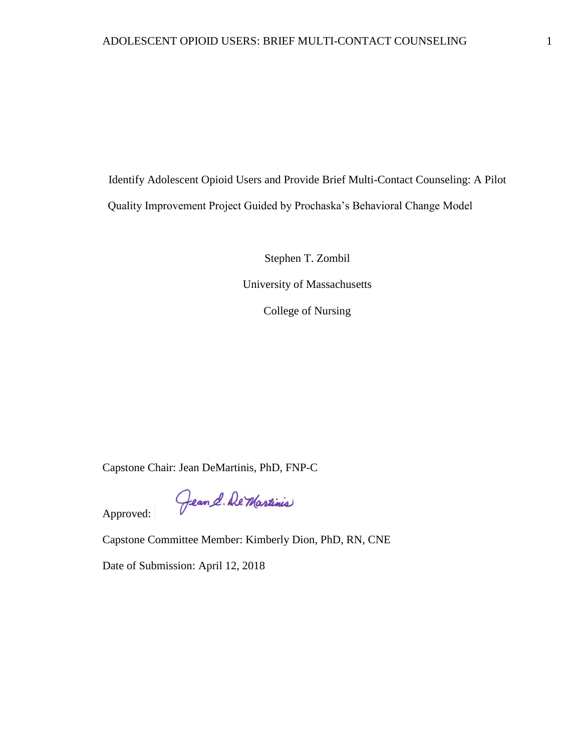Identify Adolescent Opioid Users and Provide Brief Multi-Contact Counseling: A Pilot Quality Improvement Project Guided by Prochaska's Behavioral Change Model

> Stephen T. Zombil University of Massachusetts

> > College of Nursing

Capstone Chair: Jean DeMartinis, PhD, FNP-C

Gean & De Martinis Approved:

Capstone Committee Member: Kimberly Dion, PhD, RN, CNE

Date of Submission: April 12, 2018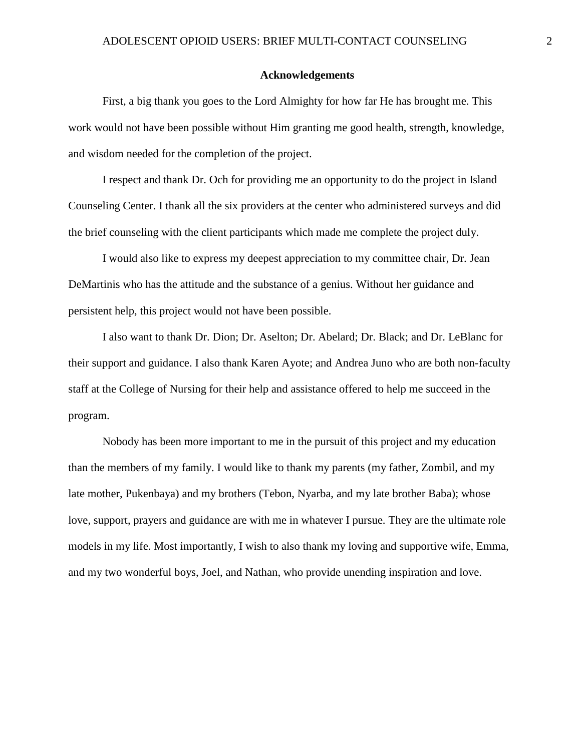#### **Acknowledgements**

<span id="page-2-0"></span>First, a big thank you goes to the Lord Almighty for how far He has brought me. This work would not have been possible without Him granting me good health, strength, knowledge, and wisdom needed for the completion of the project.

I respect and thank Dr. Och for providing me an opportunity to do the project in Island Counseling Center. I thank all the six providers at the center who administered surveys and did the brief counseling with the client participants which made me complete the project duly.

I would also like to express my deepest appreciation to my committee chair, Dr. Jean DeMartinis who has the attitude and the substance of a genius. Without her guidance and persistent help, this project would not have been possible.

I also want to thank Dr. Dion; Dr. Aselton; Dr. Abelard; Dr. Black; and Dr. LeBlanc for their support and guidance. I also thank Karen Ayote; and Andrea Juno who are both non-faculty staff at the College of Nursing for their help and assistance offered to help me succeed in the program.

Nobody has been more important to me in the pursuit of this project and my education than the members of my family. I would like to thank my parents (my father, Zombil, and my late mother, Pukenbaya) and my brothers (Tebon, Nyarba, and my late brother Baba); whose love, support, prayers and guidance are with me in whatever I pursue. They are the ultimate role models in my life. Most importantly, I wish to also thank my loving and supportive wife, Emma, and my two wonderful boys, Joel, and Nathan, who provide unending inspiration and love.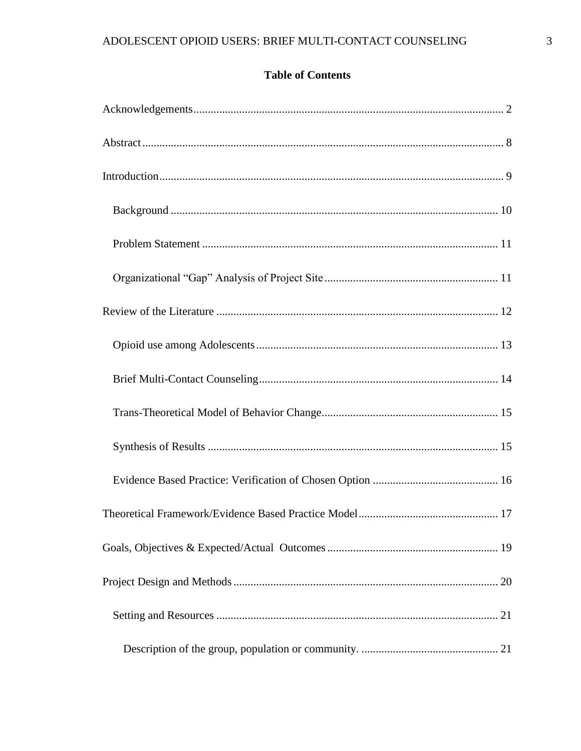# **Table of Contents**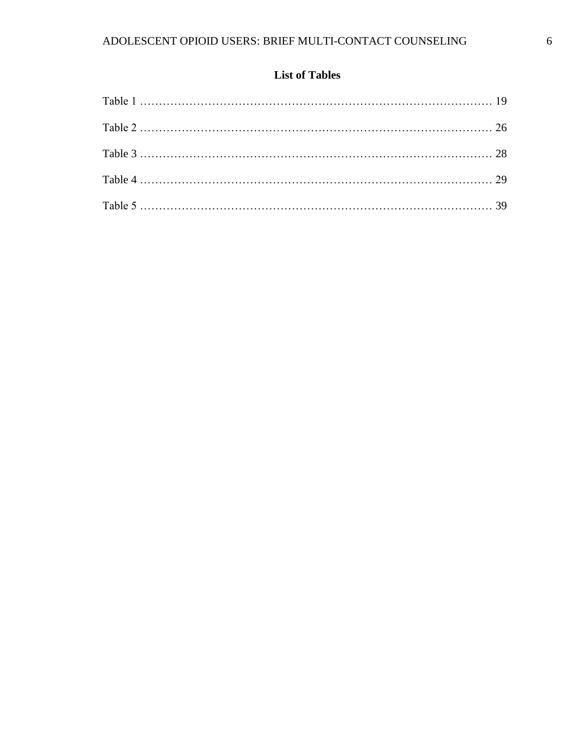# **List of Tables**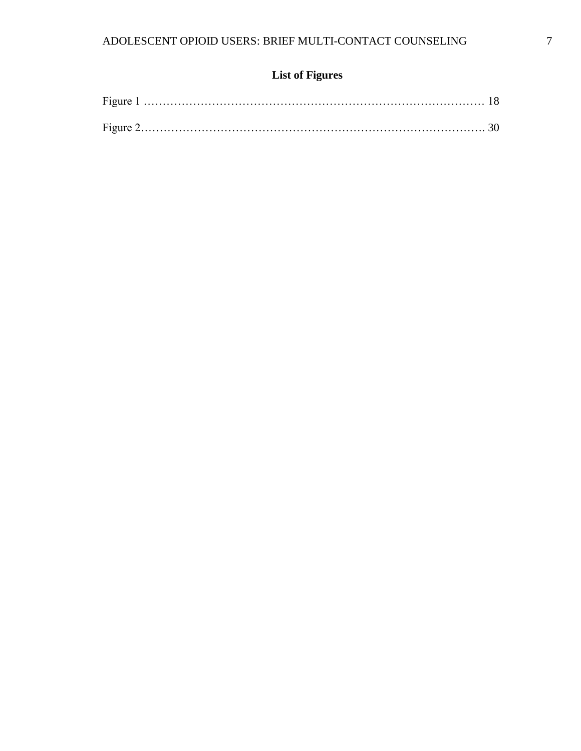# **List of Figures**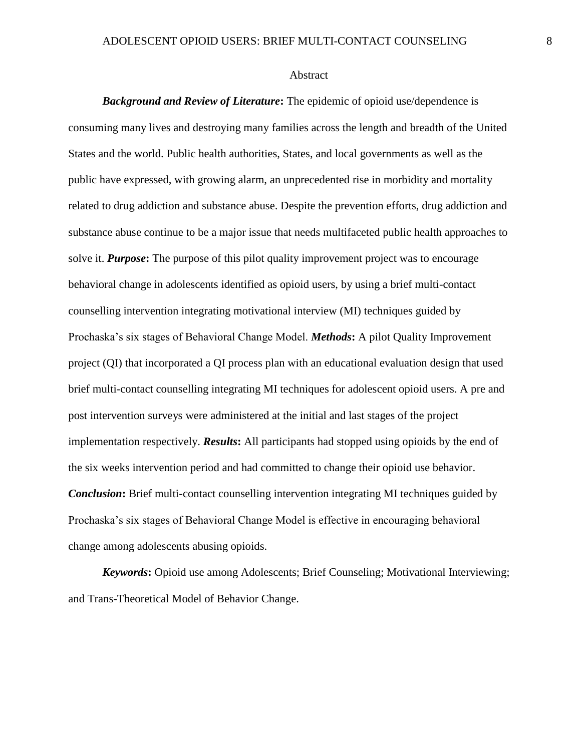#### <span id="page-8-0"></span>Abstract

*Background and Review of Literature***:** The epidemic of opioid use/dependence is consuming many lives and destroying many families across the length and breadth of the United States and the world. Public health authorities, States, and local governments as well as the public have expressed, with growing alarm, an unprecedented rise in morbidity and mortality related to drug addiction and substance abuse. Despite the prevention efforts, drug addiction and substance abuse continue to be a major issue that needs multifaceted public health approaches to solve it. *Purpose***:** The purpose of this pilot quality improvement project was to encourage behavioral change in adolescents identified as opioid users, by using a brief multi-contact counselling intervention integrating motivational interview (MI) techniques guided by Prochaska's six stages of Behavioral Change Model. *Methods***:** A pilot Quality Improvement project (QI) that incorporated a QI process plan with an educational evaluation design that used brief multi-contact counselling integrating MI techniques for adolescent opioid users. A pre and post intervention surveys were administered at the initial and last stages of the project implementation respectively. *Results***:** All participants had stopped using opioids by the end of the six weeks intervention period and had committed to change their opioid use behavior. *Conclusion***:** Brief multi-contact counselling intervention integrating MI techniques guided by Prochaska's six stages of Behavioral Change Model is effective in encouraging behavioral change among adolescents abusing opioids.

*Keywords***:** Opioid use among Adolescents; Brief Counseling; Motivational Interviewing; and Trans-Theoretical Model of Behavior Change.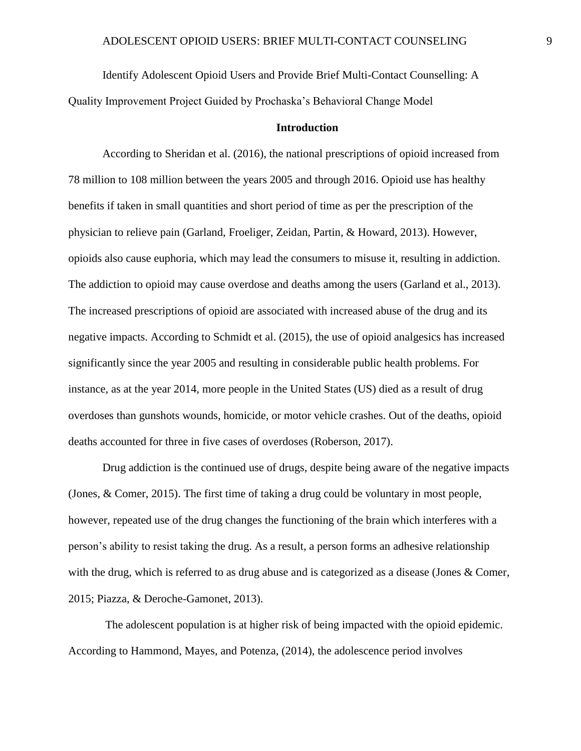Identify Adolescent Opioid Users and Provide Brief Multi-Contact Counselling: A

<span id="page-9-0"></span>Quality Improvement Project Guided by Prochaska's Behavioral Change Model

#### **Introduction**

According to Sheridan et al. (2016), the national prescriptions of opioid increased from 78 million to 108 million between the years 2005 and through 2016. Opioid use has healthy benefits if taken in small quantities and short period of time as per the prescription of the physician to relieve pain (Garland, Froeliger, Zeidan, Partin, & Howard, 2013). However, opioids also cause euphoria, which may lead the consumers to misuse it, resulting in addiction. The addiction to opioid may cause overdose and deaths among the users (Garland et al., 2013). The increased prescriptions of opioid are associated with increased abuse of the drug and its negative impacts. According to Schmidt et al. (2015), the use of opioid analgesics has increased significantly since the year 2005 and resulting in considerable public health problems. For instance, as at the year 2014, more people in the United States (US) died as a result of drug overdoses than gunshots wounds, homicide, or motor vehicle crashes. Out of the deaths, opioid deaths accounted for three in five cases of overdoses (Roberson, 2017).

Drug addiction is the continued use of drugs, despite being aware of the negative impacts (Jones, & Comer, 2015). The first time of taking a drug could be voluntary in most people, however, repeated use of the drug changes the functioning of the brain which interferes with a person's ability to resist taking the drug. As a result, a person forms an adhesive relationship with the drug, which is referred to as drug abuse and is categorized as a disease (Jones & Comer, 2015; Piazza, & Deroche-Gamonet, 2013).

The adolescent population is at higher risk of being impacted with the opioid epidemic. According to Hammond, Mayes, and Potenza, (2014), the adolescence period involves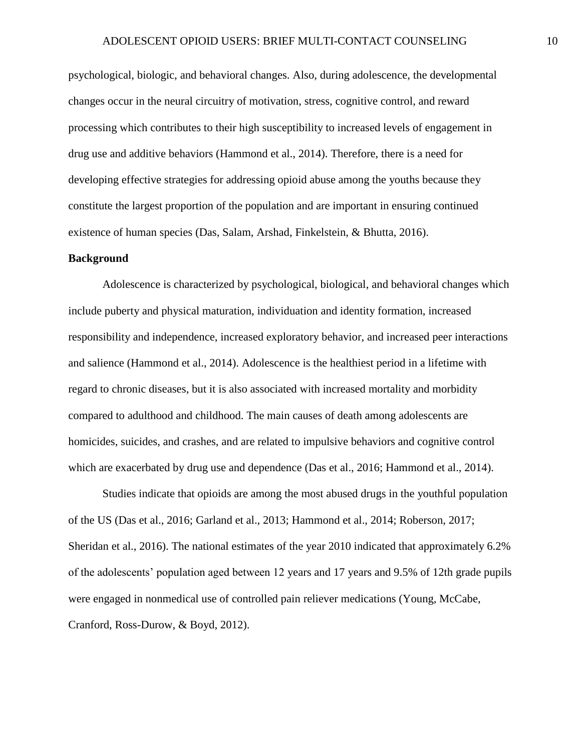psychological, biologic, and behavioral changes. Also, during adolescence, the developmental changes occur in the neural circuitry of motivation, stress, cognitive control, and reward processing which contributes to their high susceptibility to increased levels of engagement in drug use and additive behaviors (Hammond et al., 2014). Therefore, there is a need for developing effective strategies for addressing opioid abuse among the youths because they constitute the largest proportion of the population and are important in ensuring continued existence of human species (Das, Salam, Arshad, Finkelstein, & Bhutta, 2016).

#### <span id="page-10-0"></span>**Background**

Adolescence is characterized by psychological, biological, and behavioral changes which include puberty and physical maturation, individuation and identity formation, increased responsibility and independence, increased exploratory behavior, and increased peer interactions and salience (Hammond et al., 2014). Adolescence is the healthiest period in a lifetime with regard to chronic diseases, but it is also associated with increased mortality and morbidity compared to adulthood and childhood. The main causes of death among adolescents are homicides, suicides, and crashes, and are related to impulsive behaviors and cognitive control which are exacerbated by drug use and dependence (Das et al., 2016; Hammond et al., 2014).

Studies indicate that opioids are among the most abused drugs in the youthful population of the US (Das et al., 2016; Garland et al., 2013; Hammond et al., 2014; Roberson, 2017; Sheridan et al., 2016). The national estimates of the year 2010 indicated that approximately 6.2% of the adolescents' population aged between 12 years and 17 years and 9.5% of 12th grade pupils were engaged in nonmedical use of controlled pain reliever medications (Young, McCabe, Cranford, Ross-Durow, & Boyd, 2012).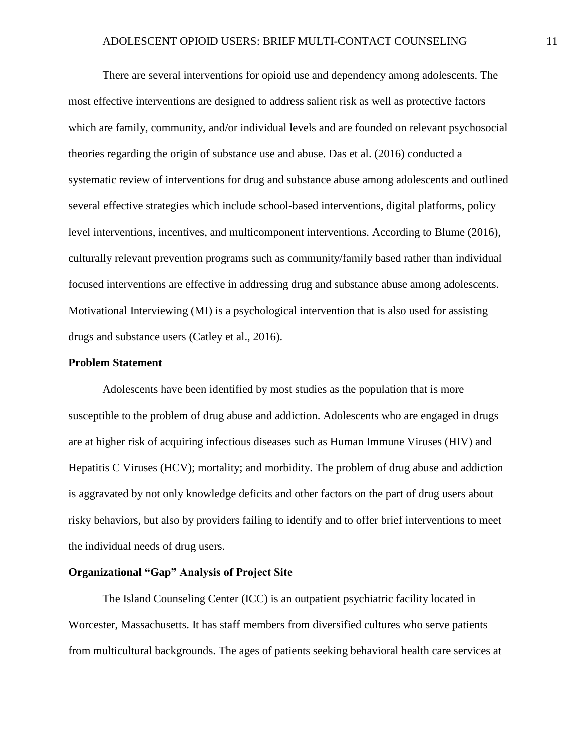There are several interventions for opioid use and dependency among adolescents. The most effective interventions are designed to address salient risk as well as protective factors which are family, community, and/or individual levels and are founded on relevant psychosocial theories regarding the origin of substance use and abuse. Das et al. (2016) conducted a systematic review of interventions for drug and substance abuse among adolescents and outlined several effective strategies which include school-based interventions, digital platforms, policy level interventions, incentives, and multicomponent interventions. According to Blume (2016), culturally relevant prevention programs such as community/family based rather than individual focused interventions are effective in addressing drug and substance abuse among adolescents. Motivational Interviewing (MI) is a psychological intervention that is also used for assisting drugs and substance users (Catley et al., 2016).

#### <span id="page-11-0"></span>**Problem Statement**

Adolescents have been identified by most studies as the population that is more susceptible to the problem of drug abuse and addiction. Adolescents who are engaged in drugs are at higher risk of acquiring infectious diseases such as Human Immune Viruses (HIV) and Hepatitis C Viruses (HCV); mortality; and morbidity. The problem of drug abuse and addiction is aggravated by not only knowledge deficits and other factors on the part of drug users about risky behaviors, but also by providers failing to identify and to offer brief interventions to meet the individual needs of drug users.

### <span id="page-11-1"></span>**Organizational "Gap" Analysis of Project Site**

The Island Counseling Center (ICC) is an outpatient psychiatric facility located in Worcester, Massachusetts. It has staff members from diversified cultures who serve patients from multicultural backgrounds. The ages of patients seeking behavioral health care services at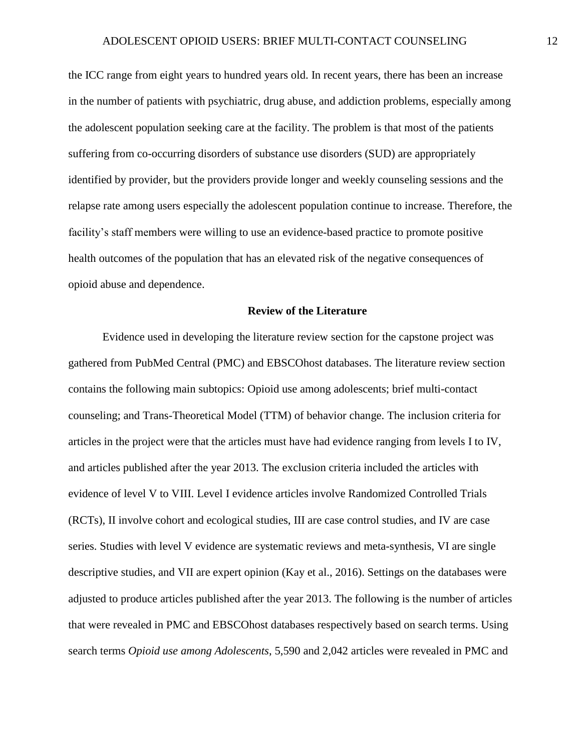the ICC range from eight years to hundred years old. In recent years, there has been an increase in the number of patients with psychiatric, drug abuse, and addiction problems, especially among the adolescent population seeking care at the facility. The problem is that most of the patients suffering from co-occurring disorders of substance use disorders (SUD) are appropriately identified by provider, but the providers provide longer and weekly counseling sessions and the relapse rate among users especially the adolescent population continue to increase. Therefore, the facility's staff members were willing to use an evidence-based practice to promote positive health outcomes of the population that has an elevated risk of the negative consequences of opioid abuse and dependence.

#### **Review of the Literature**

<span id="page-12-0"></span>Evidence used in developing the literature review section for the capstone project was gathered from PubMed Central (PMC) and EBSCOhost databases. The literature review section contains the following main subtopics: Opioid use among adolescents; brief multi-contact counseling; and Trans-Theoretical Model (TTM) of behavior change. The inclusion criteria for articles in the project were that the articles must have had evidence ranging from levels I to IV, and articles published after the year 2013. The exclusion criteria included the articles with evidence of level V to VIII. Level I evidence articles involve Randomized Controlled Trials (RCTs), II involve cohort and ecological studies, III are case control studies, and IV are case series. Studies with level V evidence are systematic reviews and meta-synthesis, VI are single descriptive studies, and VII are expert opinion (Kay et al., 2016). Settings on the databases were adjusted to produce articles published after the year 2013. The following is the number of articles that were revealed in PMC and EBSCOhost databases respectively based on search terms. Using search terms *Opioid use among Adolescents*, 5,590 and 2,042 articles were revealed in PMC and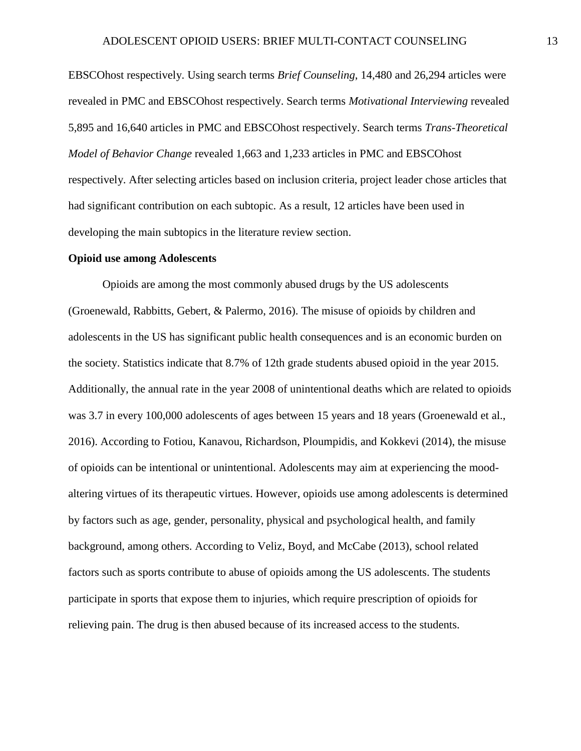EBSCOhost respectively. Using search terms *Brief Counseling*, 14,480 and 26,294 articles were revealed in PMC and EBSCOhost respectively. Search terms *Motivational Interviewing* revealed 5,895 and 16,640 articles in PMC and EBSCOhost respectively. Search terms *Trans-Theoretical Model of Behavior Change* revealed 1,663 and 1,233 articles in PMC and EBSCOhost respectively. After selecting articles based on inclusion criteria, project leader chose articles that had significant contribution on each subtopic. As a result, 12 articles have been used in developing the main subtopics in the literature review section.

#### <span id="page-13-0"></span>**Opioid use among Adolescents**

Opioids are among the most commonly abused drugs by the US adolescents (Groenewald, Rabbitts, Gebert, & Palermo, 2016). The misuse of opioids by children and adolescents in the US has significant public health consequences and is an economic burden on the society. Statistics indicate that 8.7% of 12th grade students abused opioid in the year 2015. Additionally, the annual rate in the year 2008 of unintentional deaths which are related to opioids was 3.7 in every 100,000 adolescents of ages between 15 years and 18 years (Groenewald et al., 2016). According to Fotiou, Kanavou, Richardson, Ploumpidis, and Kokkevi (2014), the misuse of opioids can be intentional or unintentional. Adolescents may aim at experiencing the moodaltering virtues of its therapeutic virtues. However, opioids use among adolescents is determined by factors such as age, gender, personality, physical and psychological health, and family background, among others. According to Veliz, Boyd, and McCabe (2013), school related factors such as sports contribute to abuse of opioids among the US adolescents. The students participate in sports that expose them to injuries, which require prescription of opioids for relieving pain. The drug is then abused because of its increased access to the students.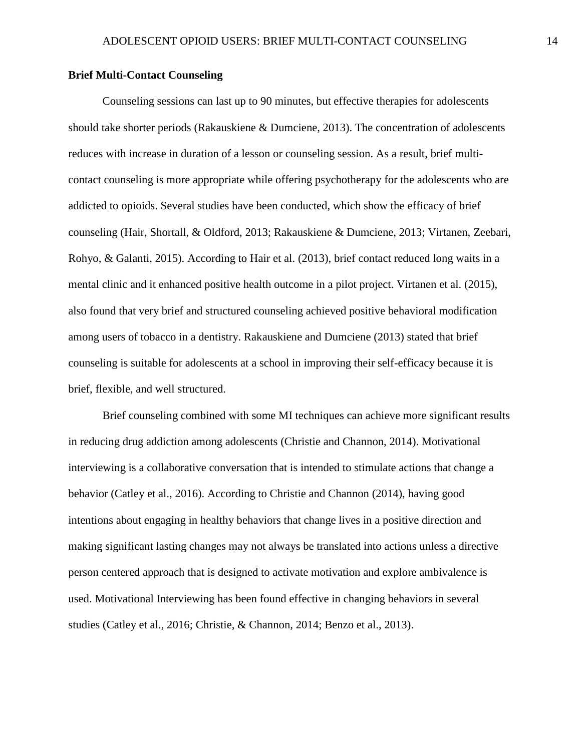#### <span id="page-14-0"></span>**Brief Multi-Contact Counseling**

Counseling sessions can last up to 90 minutes, but effective therapies for adolescents should take shorter periods (Rakauskiene & Dumciene, 2013). The concentration of adolescents reduces with increase in duration of a lesson or counseling session. As a result, brief multicontact counseling is more appropriate while offering psychotherapy for the adolescents who are addicted to opioids. Several studies have been conducted, which show the efficacy of brief counseling (Hair, Shortall, & Oldford, 2013; Rakauskiene & Dumciene, 2013; Virtanen, Zeebari, Rohyo, & Galanti, 2015). According to Hair et al. (2013), brief contact reduced long waits in a mental clinic and it enhanced positive health outcome in a pilot project. Virtanen et al. (2015), also found that very brief and structured counseling achieved positive behavioral modification among users of tobacco in a dentistry. Rakauskiene and Dumciene (2013) stated that brief counseling is suitable for adolescents at a school in improving their self-efficacy because it is brief, flexible, and well structured.

Brief counseling combined with some MI techniques can achieve more significant results in reducing drug addiction among adolescents (Christie and Channon, 2014). Motivational interviewing is a collaborative conversation that is intended to stimulate actions that change a behavior (Catley et al., 2016). According to Christie and Channon (2014), having good intentions about engaging in healthy behaviors that change lives in a positive direction and making significant lasting changes may not always be translated into actions unless a directive person centered approach that is designed to activate motivation and explore ambivalence is used. Motivational Interviewing has been found effective in changing behaviors in several studies (Catley et al., 2016; Christie, & Channon, 2014; Benzo et al., 2013).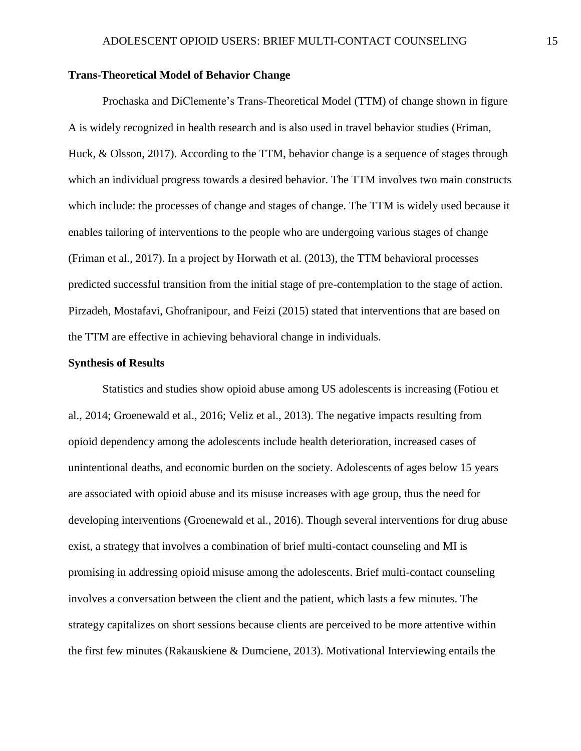#### <span id="page-15-0"></span>**Trans-Theoretical Model of Behavior Change**

Prochaska and DiClemente's Trans-Theoretical Model (TTM) of change shown in figure A is widely recognized in health research and is also used in travel behavior studies (Friman, Huck, & Olsson, 2017). According to the TTM, behavior change is a sequence of stages through which an individual progress towards a desired behavior. The TTM involves two main constructs which include: the processes of change and stages of change. The TTM is widely used because it enables tailoring of interventions to the people who are undergoing various stages of change (Friman et al., 2017). In a project by Horwath et al. (2013), the TTM behavioral processes predicted successful transition from the initial stage of pre-contemplation to the stage of action. Pirzadeh, Mostafavi, Ghofranipour, and Feizi (2015) stated that interventions that are based on the TTM are effective in achieving behavioral change in individuals.

#### <span id="page-15-1"></span>**Synthesis of Results**

Statistics and studies show opioid abuse among US adolescents is increasing (Fotiou et al., 2014; Groenewald et al., 2016; Veliz et al., 2013). The negative impacts resulting from opioid dependency among the adolescents include health deterioration, increased cases of unintentional deaths, and economic burden on the society. Adolescents of ages below 15 years are associated with opioid abuse and its misuse increases with age group, thus the need for developing interventions (Groenewald et al., 2016). Though several interventions for drug abuse exist, a strategy that involves a combination of brief multi-contact counseling and MI is promising in addressing opioid misuse among the adolescents. Brief multi-contact counseling involves a conversation between the client and the patient, which lasts a few minutes. The strategy capitalizes on short sessions because clients are perceived to be more attentive within the first few minutes (Rakauskiene & Dumciene, 2013). Motivational Interviewing entails the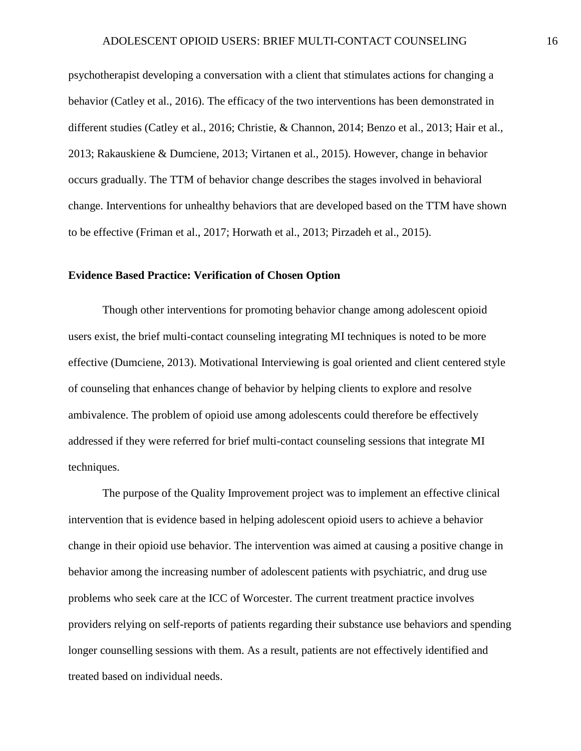psychotherapist developing a conversation with a client that stimulates actions for changing a behavior (Catley et al., 2016). The efficacy of the two interventions has been demonstrated in different studies (Catley et al., 2016; Christie, & Channon, 2014; Benzo et al., 2013; Hair et al., 2013; Rakauskiene & Dumciene, 2013; Virtanen et al., 2015). However, change in behavior occurs gradually. The TTM of behavior change describes the stages involved in behavioral change. Interventions for unhealthy behaviors that are developed based on the TTM have shown to be effective (Friman et al., 2017; Horwath et al., 2013; Pirzadeh et al., 2015).

#### <span id="page-16-0"></span>**Evidence Based Practice: Verification of Chosen Option**

Though other interventions for promoting behavior change among adolescent opioid users exist, the brief multi-contact counseling integrating MI techniques is noted to be more effective (Dumciene, 2013). Motivational Interviewing is goal oriented and client centered style of counseling that enhances change of behavior by helping clients to explore and resolve ambivalence. The problem of opioid use among adolescents could therefore be effectively addressed if they were referred for brief multi-contact counseling sessions that integrate MI techniques.

The purpose of the Quality Improvement project was to implement an effective clinical intervention that is evidence based in helping adolescent opioid users to achieve a behavior change in their opioid use behavior. The intervention was aimed at causing a positive change in behavior among the increasing number of adolescent patients with psychiatric, and drug use problems who seek care at the ICC of Worcester. The current treatment practice involves providers relying on self-reports of patients regarding their substance use behaviors and spending longer counselling sessions with them. As a result, patients are not effectively identified and treated based on individual needs.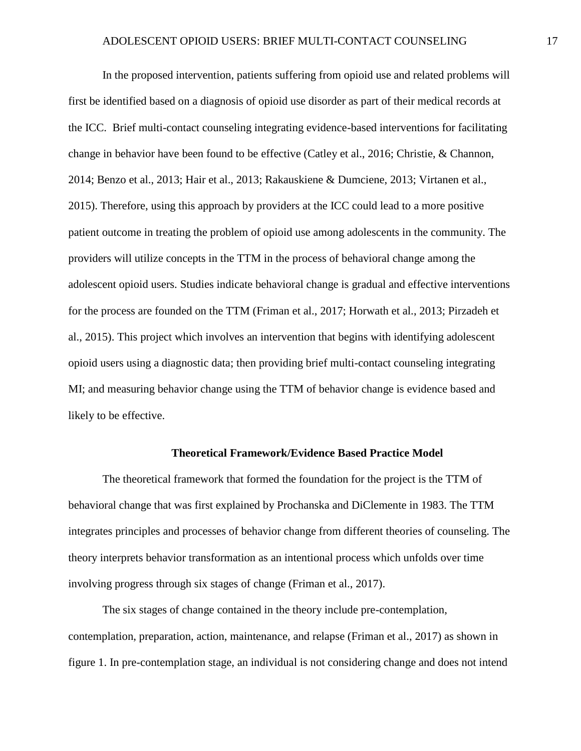In the proposed intervention, patients suffering from opioid use and related problems will first be identified based on a diagnosis of opioid use disorder as part of their medical records at the ICC. Brief multi-contact counseling integrating evidence-based interventions for facilitating change in behavior have been found to be effective (Catley et al., 2016; Christie, & Channon, 2014; Benzo et al., 2013; Hair et al., 2013; Rakauskiene & Dumciene, 2013; Virtanen et al., 2015). Therefore, using this approach by providers at the ICC could lead to a more positive patient outcome in treating the problem of opioid use among adolescents in the community. The providers will utilize concepts in the TTM in the process of behavioral change among the adolescent opioid users. Studies indicate behavioral change is gradual and effective interventions for the process are founded on the TTM (Friman et al., 2017; Horwath et al., 2013; Pirzadeh et al., 2015). This project which involves an intervention that begins with identifying adolescent opioid users using a diagnostic data; then providing brief multi-contact counseling integrating MI; and measuring behavior change using the TTM of behavior change is evidence based and likely to be effective.

#### **Theoretical Framework/Evidence Based Practice Model**

<span id="page-17-0"></span>The theoretical framework that formed the foundation for the project is the TTM of behavioral change that was first explained by Prochanska and DiClemente in 1983. The TTM integrates principles and processes of behavior change from different theories of counseling. The theory interprets behavior transformation as an intentional process which unfolds over time involving progress through six stages of change (Friman et al., 2017).

The six stages of change contained in the theory include pre-contemplation, contemplation, preparation, action, maintenance, and relapse (Friman et al., 2017) as shown in figure 1. In pre-contemplation stage, an individual is not considering change and does not intend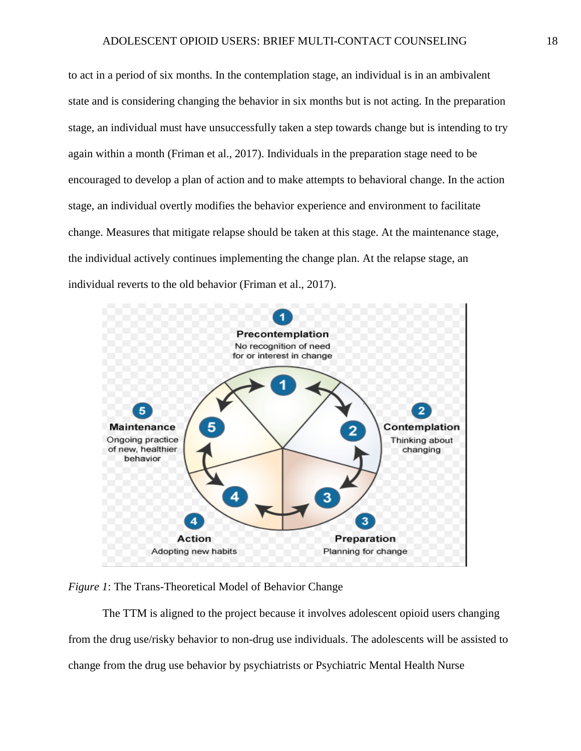to act in a period of six months. In the contemplation stage, an individual is in an ambivalent state and is considering changing the behavior in six months but is not acting. In the preparation stage, an individual must have unsuccessfully taken a step towards change but is intending to try again within a month (Friman et al., 2017). Individuals in the preparation stage need to be encouraged to develop a plan of action and to make attempts to behavioral change. In the action stage, an individual overtly modifies the behavior experience and environment to facilitate change. Measures that mitigate relapse should be taken at this stage. At the maintenance stage, the individual actively continues implementing the change plan. At the relapse stage, an individual reverts to the old behavior (Friman et al., 2017).



*Figure 1*: The Trans-Theoretical Model of Behavior Change

The TTM is aligned to the project because it involves adolescent opioid users changing from the drug use/risky behavior to non-drug use individuals. The adolescents will be assisted to change from the drug use behavior by psychiatrists or Psychiatric Mental Health Nurse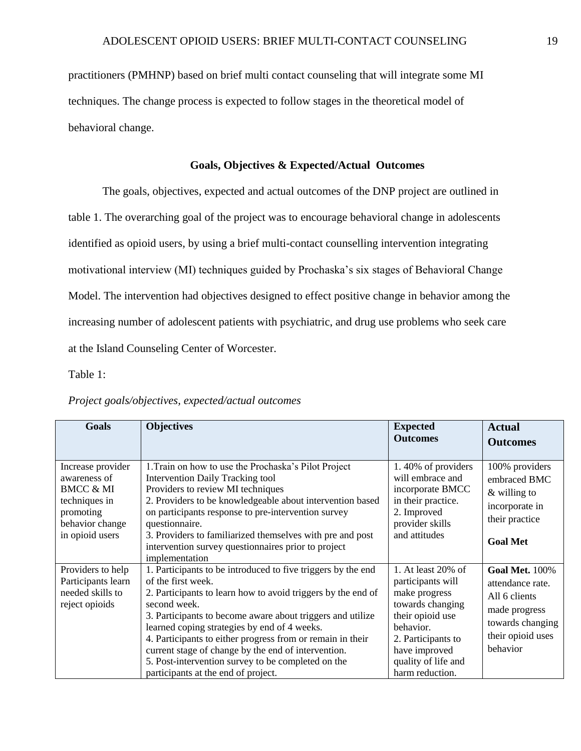practitioners (PMHNP) based on brief multi contact counseling that will integrate some MI techniques. The change process is expected to follow stages in the theoretical model of behavioral change.

### **Goals, Objectives & Expected/Actual Outcomes**

<span id="page-19-0"></span>The goals, objectives, expected and actual outcomes of the DNP project are outlined in table 1. The overarching goal of the project was to encourage behavioral change in adolescents identified as opioid users, by using a brief multi-contact counselling intervention integrating motivational interview (MI) techniques guided by Prochaska's six stages of Behavioral Change Model. The intervention had objectives designed to effect positive change in behavior among the increasing number of adolescent patients with psychiatric, and drug use problems who seek care at the Island Counseling Center of Worcester.

Table 1:

| <b>Goals</b>                                                                                                                  | <b>Objectives</b>                                                                                                                                                                                                                                                                                                                                                                                                                                                                                  | <b>Expected</b><br><b>Outcomes</b>                                                                                                                                                             | <b>Actual</b><br><b>Outcomes</b>                                                                                                 |
|-------------------------------------------------------------------------------------------------------------------------------|----------------------------------------------------------------------------------------------------------------------------------------------------------------------------------------------------------------------------------------------------------------------------------------------------------------------------------------------------------------------------------------------------------------------------------------------------------------------------------------------------|------------------------------------------------------------------------------------------------------------------------------------------------------------------------------------------------|----------------------------------------------------------------------------------------------------------------------------------|
| Increase provider<br>awareness of<br><b>BMCC &amp; MI</b><br>techniques in<br>promoting<br>behavior change<br>in opioid users | 1. Train on how to use the Prochaska's Pilot Project<br><b>Intervention Daily Tracking tool</b><br>Providers to review MI techniques<br>2. Providers to be knowledgeable about intervention based<br>on participants response to pre-intervention survey<br>questionnaire.<br>3. Providers to familiarized themselves with pre and post<br>intervention survey questionnaires prior to project<br>implementation                                                                                   | 1.40% of providers<br>will embrace and<br>incorporate BMCC<br>in their practice.<br>2. Improved<br>provider skills<br>and attitudes                                                            | 100% providers<br>embraced BMC<br>$&$ willing to<br>incorporate in<br>their practice<br><b>Goal Met</b>                          |
| Providers to help<br>Participants learn<br>needed skills to<br>reject opioids                                                 | 1. Participants to be introduced to five triggers by the end<br>of the first week.<br>2. Participants to learn how to avoid triggers by the end of<br>second week.<br>3. Participants to become aware about triggers and utilize<br>learned coping strategies by end of 4 weeks.<br>4. Participants to either progress from or remain in their<br>current stage of change by the end of intervention.<br>5. Post-intervention survey to be completed on the<br>participants at the end of project. | 1. At least 20% of<br>participants will<br>make progress<br>towards changing<br>their opioid use<br>behavior.<br>2. Participants to<br>have improved<br>quality of life and<br>harm reduction. | <b>Goal Met. 100%</b><br>attendance rate.<br>All 6 clients<br>made progress<br>towards changing<br>their opioid uses<br>behavior |

#### *Project goals/objectives, expected/actual outcomes*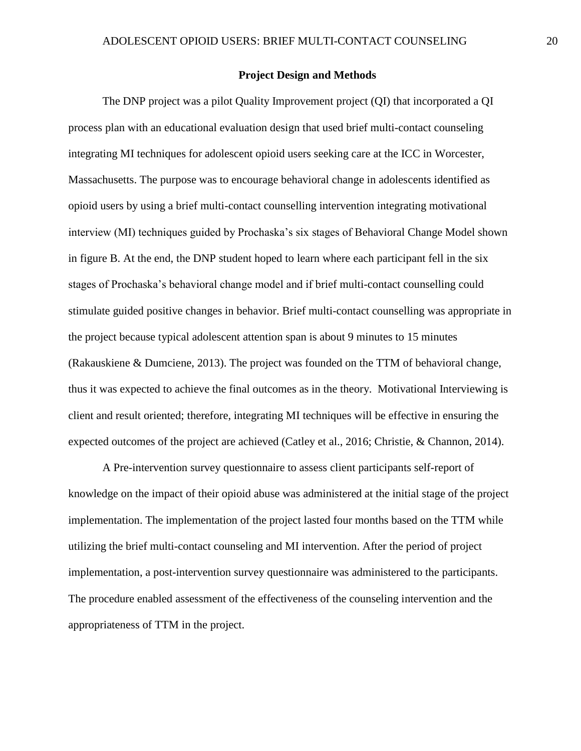#### **Project Design and Methods**

<span id="page-20-0"></span>The DNP project was a pilot Quality Improvement project (QI) that incorporated a QI process plan with an educational evaluation design that used brief multi-contact counseling integrating MI techniques for adolescent opioid users seeking care at the ICC in Worcester, Massachusetts. The purpose was to encourage behavioral change in adolescents identified as opioid users by using a brief multi-contact counselling intervention integrating motivational interview (MI) techniques guided by Prochaska's six stages of Behavioral Change Model shown in figure B. At the end, the DNP student hoped to learn where each participant fell in the six stages of Prochaska's behavioral change model and if brief multi-contact counselling could stimulate guided positive changes in behavior. Brief multi-contact counselling was appropriate in the project because typical adolescent attention span is about 9 minutes to 15 minutes (Rakauskiene & Dumciene, 2013). The project was founded on the TTM of behavioral change, thus it was expected to achieve the final outcomes as in the theory. Motivational Interviewing is client and result oriented; therefore, integrating MI techniques will be effective in ensuring the expected outcomes of the project are achieved (Catley et al., 2016; Christie, & Channon, 2014).

A Pre-intervention survey questionnaire to assess client participants self-report of knowledge on the impact of their opioid abuse was administered at the initial stage of the project implementation. The implementation of the project lasted four months based on the TTM while utilizing the brief multi-contact counseling and MI intervention. After the period of project implementation, a post-intervention survey questionnaire was administered to the participants. The procedure enabled assessment of the effectiveness of the counseling intervention and the appropriateness of TTM in the project.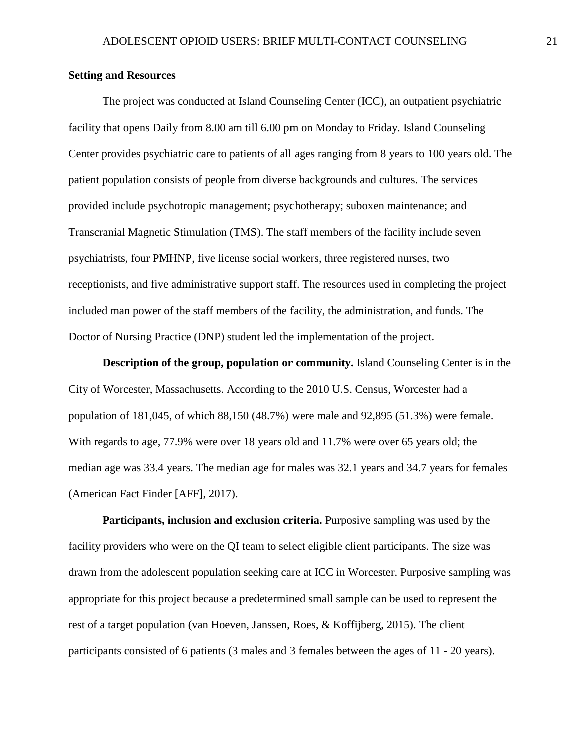### <span id="page-21-0"></span>**Setting and Resources**

The project was conducted at Island Counseling Center (ICC), an outpatient psychiatric facility that opens Daily from 8.00 am till 6.00 pm on Monday to Friday. Island Counseling Center provides psychiatric care to patients of all ages ranging from 8 years to 100 years old. The patient population consists of people from diverse backgrounds and cultures. The services provided include psychotropic management; psychotherapy; suboxen maintenance; and Transcranial Magnetic Stimulation (TMS). The staff members of the facility include seven psychiatrists, four PMHNP, five license social workers, three registered nurses, two receptionists, and five administrative support staff. The resources used in completing the project included man power of the staff members of the facility, the administration, and funds. The Doctor of Nursing Practice (DNP) student led the implementation of the project.

<span id="page-21-1"></span>**Description of the group, population or community.** Island Counseling Center is in the City of Worcester, Massachusetts. According to the 2010 U.S. Census, Worcester had a population of 181,045, of which 88,150 (48.7%) were male and 92,895 (51.3%) were female. With regards to age, 77.9% were over 18 years old and 11.7% were over 65 years old; the median age was 33.4 years. The median age for males was 32.1 years and 34.7 years for females (American Fact Finder [AFF], 2017).

<span id="page-21-2"></span>**Participants, inclusion and exclusion criteria.** Purposive sampling was used by the facility providers who were on the QI team to select eligible client participants. The size was drawn from the adolescent population seeking care at ICC in Worcester. Purposive sampling was appropriate for this project because a predetermined small sample can be used to represent the rest of a target population (van Hoeven, Janssen, Roes, & Koffijberg, 2015). The client participants consisted of 6 patients (3 males and 3 females between the ages of 11 - 20 years).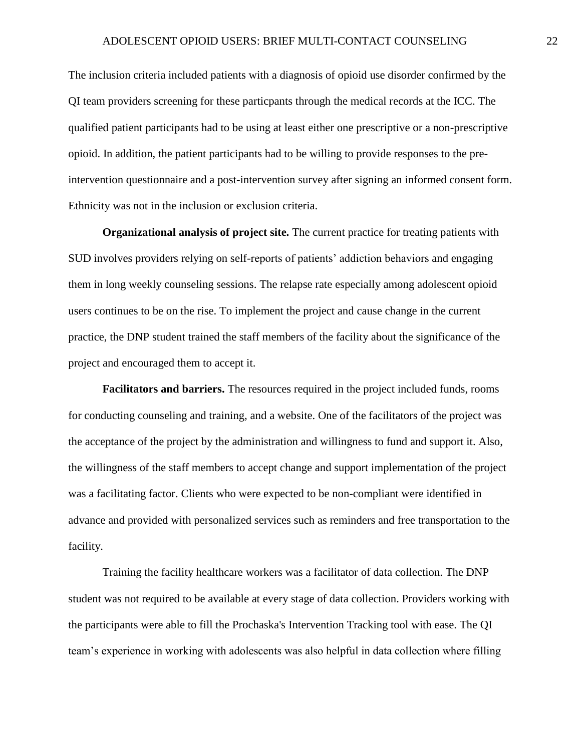The inclusion criteria included patients with a diagnosis of opioid use disorder confirmed by the QI team providers screening for these particpants through the medical records at the ICC. The qualified patient participants had to be using at least either one prescriptive or a non-prescriptive opioid. In addition, the patient participants had to be willing to provide responses to the preintervention questionnaire and a post-intervention survey after signing an informed consent form. Ethnicity was not in the inclusion or exclusion criteria.

<span id="page-22-0"></span>**Organizational analysis of project site.** The current practice for treating patients with SUD involves providers relying on self-reports of patients' addiction behaviors and engaging them in long weekly counseling sessions. The relapse rate especially among adolescent opioid users continues to be on the rise. To implement the project and cause change in the current practice, the DNP student trained the staff members of the facility about the significance of the project and encouraged them to accept it.

<span id="page-22-1"></span>**Facilitators and barriers.** The resources required in the project included funds, rooms for conducting counseling and training, and a website. One of the facilitators of the project was the acceptance of the project by the administration and willingness to fund and support it. Also, the willingness of the staff members to accept change and support implementation of the project was a facilitating factor. Clients who were expected to be non-compliant were identified in advance and provided with personalized services such as reminders and free transportation to the facility.

Training the facility healthcare workers was a facilitator of data collection. The DNP student was not required to be available at every stage of data collection. Providers working with the participants were able to fill the Prochaska's Intervention Tracking tool with ease. The QI team's experience in working with adolescents was also helpful in data collection where filling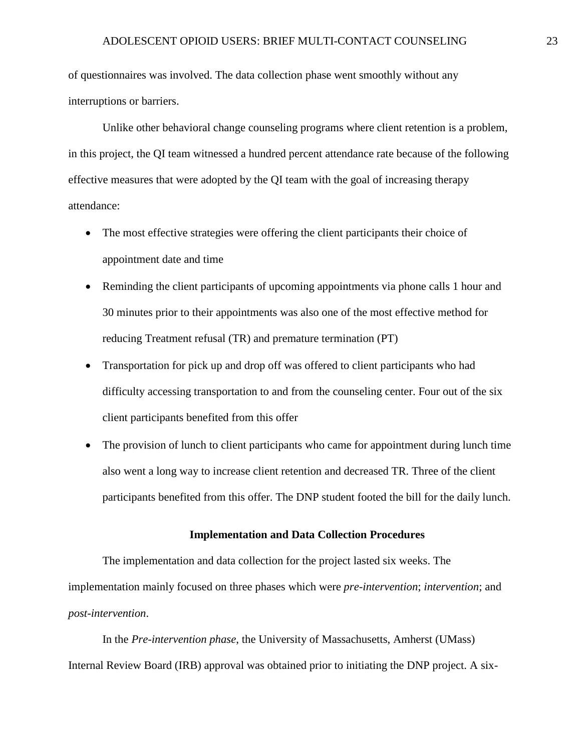of questionnaires was involved. The data collection phase went smoothly without any interruptions or barriers.

Unlike other behavioral change counseling programs where client retention is a problem, in this project, the QI team witnessed a hundred percent attendance rate because of the following effective measures that were adopted by the QI team with the goal of increasing therapy attendance:

- The most effective strategies were offering the client participants their choice of appointment date and time
- Reminding the client participants of upcoming appointments via phone calls 1 hour and 30 minutes prior to their appointments was also one of the most effective method for reducing Treatment refusal (TR) and premature termination (PT)
- Transportation for pick up and drop off was offered to client participants who had difficulty accessing transportation to and from the counseling center. Four out of the six client participants benefited from this offer
- The provision of lunch to client participants who came for appointment during lunch time also went a long way to increase client retention and decreased TR. Three of the client participants benefited from this offer. The DNP student footed the bill for the daily lunch.

#### **Implementation and Data Collection Procedures**

<span id="page-23-0"></span>The implementation and data collection for the project lasted six weeks. The implementation mainly focused on three phases which were *pre-intervention*; *intervention*; and *post-intervention*.

In the *Pre-intervention phase*, the University of Massachusetts, Amherst (UMass) Internal Review Board (IRB) approval was obtained prior to initiating the DNP project. A six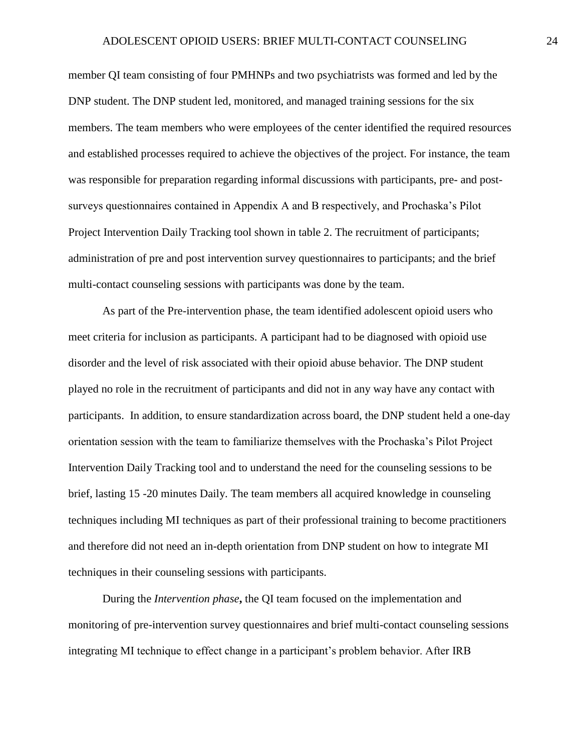member QI team consisting of four PMHNPs and two psychiatrists was formed and led by the DNP student. The DNP student led, monitored, and managed training sessions for the six members. The team members who were employees of the center identified the required resources and established processes required to achieve the objectives of the project. For instance, the team was responsible for preparation regarding informal discussions with participants, pre- and postsurveys questionnaires contained in Appendix A and B respectively, and Prochaska's Pilot Project Intervention Daily Tracking tool shown in table 2. The recruitment of participants; administration of pre and post intervention survey questionnaires to participants; and the brief multi-contact counseling sessions with participants was done by the team.

As part of the Pre-intervention phase, the team identified adolescent opioid users who meet criteria for inclusion as participants. A participant had to be diagnosed with opioid use disorder and the level of risk associated with their opioid abuse behavior. The DNP student played no role in the recruitment of participants and did not in any way have any contact with participants. In addition, to ensure standardization across board, the DNP student held a one-day orientation session with the team to familiarize themselves with the Prochaska's Pilot Project Intervention Daily Tracking tool and to understand the need for the counseling sessions to be brief, lasting 15 -20 minutes Daily. The team members all acquired knowledge in counseling techniques including MI techniques as part of their professional training to become practitioners and therefore did not need an in-depth orientation from DNP student on how to integrate MI techniques in their counseling sessions with participants.

During the *Intervention phase***,** the QI team focused on the implementation and monitoring of pre-intervention survey questionnaires and brief multi-contact counseling sessions integrating MI technique to effect change in a participant's problem behavior. After IRB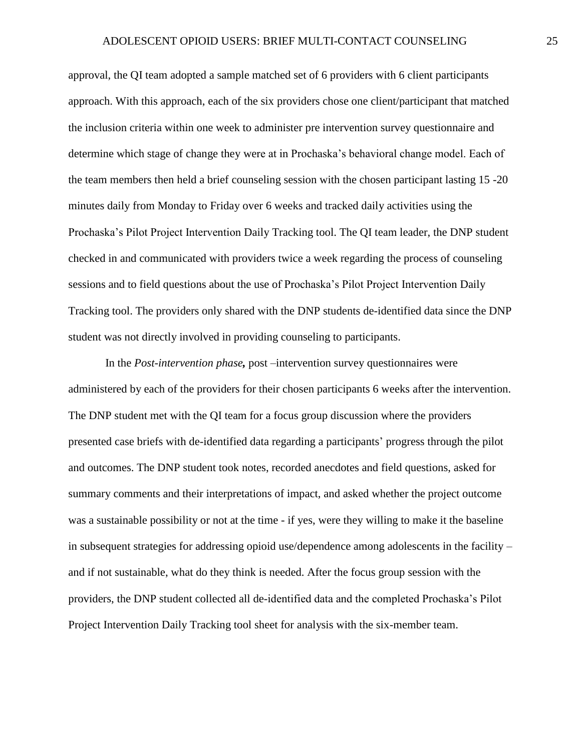approval, the QI team adopted a sample matched set of 6 providers with 6 client participants approach. With this approach, each of the six providers chose one client/participant that matched the inclusion criteria within one week to administer pre intervention survey questionnaire and determine which stage of change they were at in Prochaska's behavioral change model. Each of the team members then held a brief counseling session with the chosen participant lasting 15 -20 minutes daily from Monday to Friday over 6 weeks and tracked daily activities using the Prochaska's Pilot Project Intervention Daily Tracking tool. The QI team leader, the DNP student checked in and communicated with providers twice a week regarding the process of counseling sessions and to field questions about the use of Prochaska's Pilot Project Intervention Daily Tracking tool. The providers only shared with the DNP students de-identified data since the DNP student was not directly involved in providing counseling to participants.

In the *Post-intervention phase,* post –intervention survey questionnaires were administered by each of the providers for their chosen participants 6 weeks after the intervention. The DNP student met with the QI team for a focus group discussion where the providers presented case briefs with de-identified data regarding a participants' progress through the pilot and outcomes. The DNP student took notes, recorded anecdotes and field questions, asked for summary comments and their interpretations of impact, and asked whether the project outcome was a sustainable possibility or not at the time - if yes, were they willing to make it the baseline in subsequent strategies for addressing opioid use/dependence among adolescents in the facility – and if not sustainable, what do they think is needed. After the focus group session with the providers, the DNP student collected all de-identified data and the completed Prochaska's Pilot Project Intervention Daily Tracking tool sheet for analysis with the six-member team.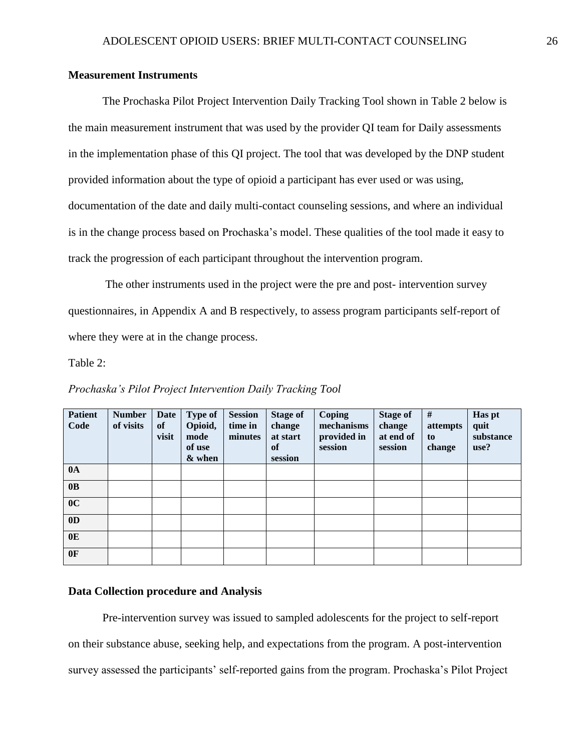# <span id="page-26-0"></span>**Measurement Instruments**

The Prochaska Pilot Project Intervention Daily Tracking Tool shown in Table 2 below is the main measurement instrument that was used by the provider QI team for Daily assessments in the implementation phase of this QI project. The tool that was developed by the DNP student provided information about the type of opioid a participant has ever used or was using, documentation of the date and daily multi-contact counseling sessions, and where an individual is in the change process based on Prochaska's model. These qualities of the tool made it easy to track the progression of each participant throughout the intervention program.

The other instruments used in the project were the pre and post- intervention survey questionnaires, in Appendix A and B respectively, to assess program participants self-report of where they were at in the change process.

Table 2:

| <b>Patient</b><br>Code | <b>Number</b><br>of visits | Date<br>of<br>visit | <b>Type of</b><br>Opioid,<br>mode<br>of use<br>& when | <b>Session</b><br>time in<br>minutes | <b>Stage of</b><br>change<br>at start<br>of<br>session | Coping<br>mechanisms<br>provided in<br>session | <b>Stage of</b><br>change<br>at end of<br>session | #<br>attempts<br>to<br>change | Has pt<br>quit<br>substance<br>use? |
|------------------------|----------------------------|---------------------|-------------------------------------------------------|--------------------------------------|--------------------------------------------------------|------------------------------------------------|---------------------------------------------------|-------------------------------|-------------------------------------|
| 0A                     |                            |                     |                                                       |                                      |                                                        |                                                |                                                   |                               |                                     |
| 0B                     |                            |                     |                                                       |                                      |                                                        |                                                |                                                   |                               |                                     |
| 0 <sup>C</sup>         |                            |                     |                                                       |                                      |                                                        |                                                |                                                   |                               |                                     |
| 0 <sub>D</sub>         |                            |                     |                                                       |                                      |                                                        |                                                |                                                   |                               |                                     |
| 0E                     |                            |                     |                                                       |                                      |                                                        |                                                |                                                   |                               |                                     |
| 0F                     |                            |                     |                                                       |                                      |                                                        |                                                |                                                   |                               |                                     |

*Prochaska's Pilot Project Intervention Daily Tracking Tool* 

#### <span id="page-26-1"></span>**Data Collection procedure and Analysis**

Pre-intervention survey was issued to sampled adolescents for the project to self-report on their substance abuse, seeking help, and expectations from the program. A post-intervention survey assessed the participants' self-reported gains from the program. Prochaska's Pilot Project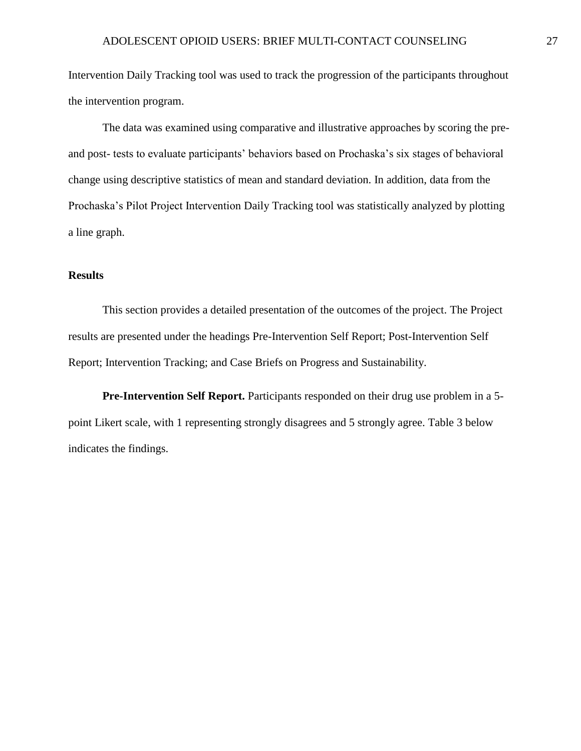Intervention Daily Tracking tool was used to track the progression of the participants throughout the intervention program.

The data was examined using comparative and illustrative approaches by scoring the preand post- tests to evaluate participants' behaviors based on Prochaska's six stages of behavioral change using descriptive statistics of mean and standard deviation. In addition, data from the Prochaska's Pilot Project Intervention Daily Tracking tool was statistically analyzed by plotting a line graph.

## <span id="page-27-0"></span>**Results**

This section provides a detailed presentation of the outcomes of the project. The Project results are presented under the headings Pre-Intervention Self Report; Post-Intervention Self Report; Intervention Tracking; and Case Briefs on Progress and Sustainability.

<span id="page-27-1"></span>**Pre-Intervention Self Report.** Participants responded on their drug use problem in a 5 point Likert scale, with 1 representing strongly disagrees and 5 strongly agree. Table 3 below indicates the findings.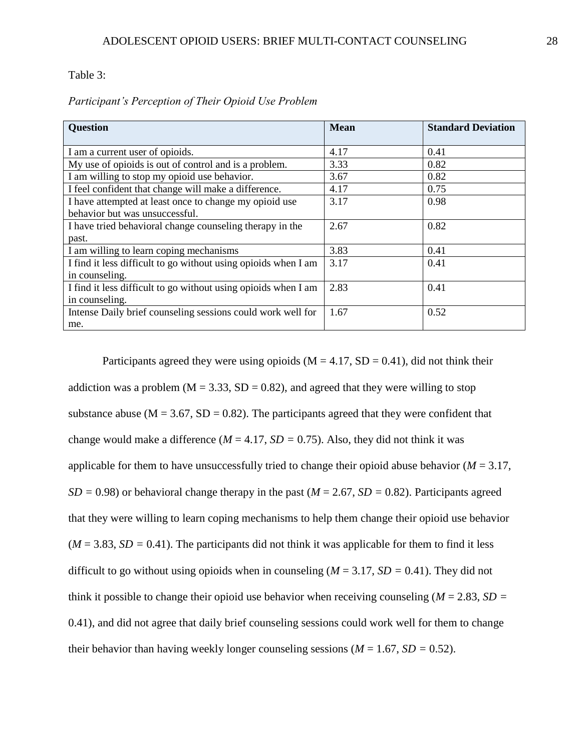Table 3:

| <b>Question</b>                                                | <b>Mean</b> | <b>Standard Deviation</b> |
|----------------------------------------------------------------|-------------|---------------------------|
|                                                                |             |                           |
| I am a current user of opioids.                                | 4.17        | 0.41                      |
| My use of opioids is out of control and is a problem.          | 3.33        | 0.82                      |
| I am willing to stop my opioid use behavior.                   | 3.67        | 0.82                      |
| I feel confident that change will make a difference.           | 4.17        | 0.75                      |
| I have attempted at least once to change my opioid use         | 3.17        | 0.98                      |
| behavior but was unsuccessful.                                 |             |                           |
| I have tried behavioral change counseling therapy in the       | 2.67        | 0.82                      |
| past.                                                          |             |                           |
| I am willing to learn coping mechanisms                        | 3.83        | 0.41                      |
| I find it less difficult to go without using opioids when I am | 3.17        | 0.41                      |
| in counseling.                                                 |             |                           |
| I find it less difficult to go without using opioids when I am | 2.83        | 0.41                      |
| in counseling.                                                 |             |                           |
| Intense Daily brief counseling sessions could work well for    | 1.67        | 0.52                      |
| me.                                                            |             |                           |

Participants agreed they were using opioids ( $M = 4.17$ , SD = 0.41), did not think their addiction was a problem ( $M = 3.33$ ,  $SD = 0.82$ ), and agreed that they were willing to stop substance abuse ( $M = 3.67$ ,  $SD = 0.82$ ). The participants agreed that they were confident that change would make a difference ( $M = 4.17$ ,  $SD = 0.75$ ). Also, they did not think it was applicable for them to have unsuccessfully tried to change their opioid abuse behavior ( $M = 3.17$ ,  $SD = 0.98$ ) or behavioral change therapy in the past ( $M = 2.67$ ,  $SD = 0.82$ ). Participants agreed that they were willing to learn coping mechanisms to help them change their opioid use behavior  $(M = 3.83, SD = 0.41)$ . The participants did not think it was applicable for them to find it less difficult to go without using opioids when in counseling  $(M = 3.17, SD = 0.41)$ . They did not think it possible to change their opioid use behavior when receiving counseling ( $M = 2.83$ ,  $SD =$ 0.41), and did not agree that daily brief counseling sessions could work well for them to change their behavior than having weekly longer counseling sessions  $(M = 1.67, SD = 0.52)$ .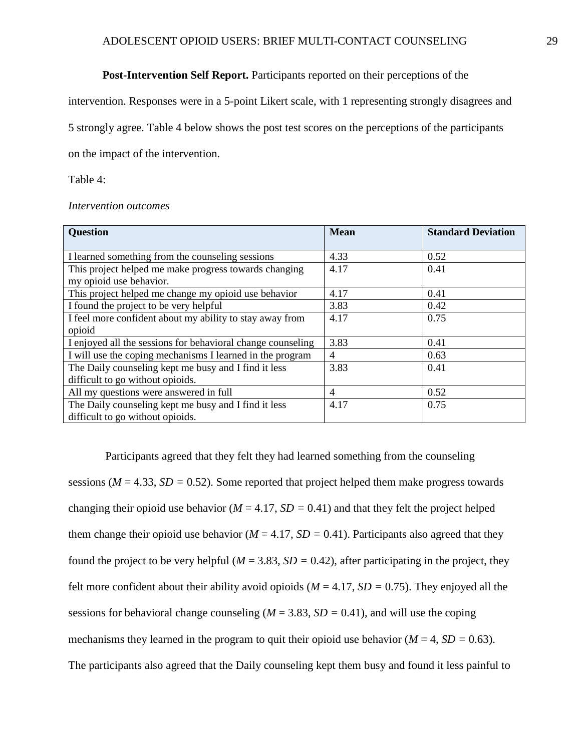### **Post-Intervention Self Report.** Participants reported on their perceptions of the

<span id="page-29-0"></span>intervention. Responses were in a 5-point Likert scale, with 1 representing strongly disagrees and

5 strongly agree. Table 4 below shows the post test scores on the perceptions of the participants

on the impact of the intervention.

Table 4:

#### *Intervention outcomes*

| <b>Question</b>                                             | <b>Mean</b>    | <b>Standard Deviation</b> |
|-------------------------------------------------------------|----------------|---------------------------|
|                                                             |                |                           |
| I learned something from the counseling sessions            | 4.33           | 0.52                      |
| This project helped me make progress towards changing       | 4.17           | 0.41                      |
| my opioid use behavior.                                     |                |                           |
| This project helped me change my opioid use behavior        | 4.17           | 0.41                      |
| I found the project to be very helpful                      | 3.83           | 0.42                      |
| I feel more confident about my ability to stay away from    | 4.17           | 0.75                      |
| opioid                                                      |                |                           |
| I enjoyed all the sessions for behavioral change counseling | 3.83           | 0.41                      |
| I will use the coping mechanisms I learned in the program   | $\overline{4}$ | 0.63                      |
| The Daily counseling kept me busy and I find it less        | 3.83           | 0.41                      |
| difficult to go without opioids.                            |                |                           |
| All my questions were answered in full                      | $\overline{4}$ | 0.52                      |
| The Daily counseling kept me busy and I find it less        | 4.17           | 0.75                      |
| difficult to go without opioids.                            |                |                           |

Participants agreed that they felt they had learned something from the counseling sessions ( $M = 4.33$ ,  $SD = 0.52$ ). Some reported that project helped them make progress towards changing their opioid use behavior ( $M = 4.17$ ,  $SD = 0.41$ ) and that they felt the project helped them change their opioid use behavior ( $M = 4.17$ ,  $SD = 0.41$ ). Participants also agreed that they found the project to be very helpful ( $M = 3.83$ ,  $SD = 0.42$ ), after participating in the project, they felt more confident about their ability avoid opioids ( $M = 4.17$ ,  $SD = 0.75$ ). They enjoyed all the sessions for behavioral change counseling ( $M = 3.83$ ,  $SD = 0.41$ ), and will use the coping mechanisms they learned in the program to quit their opioid use behavior ( $M = 4$ ,  $SD = 0.63$ ). The participants also agreed that the Daily counseling kept them busy and found it less painful to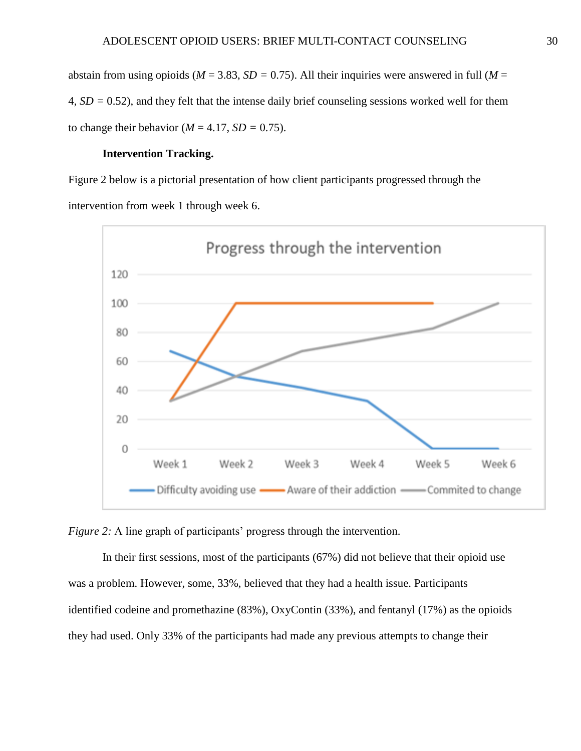abstain from using opioids ( $M = 3.83$ ,  $SD = 0.75$ ). All their inquiries were answered in full ( $M =$ 4, *SD =* 0.52), and they felt that the intense daily brief counseling sessions worked well for them to change their behavior ( $M = 4.17$ ,  $SD = 0.75$ ).

#### **Intervention Tracking.**

<span id="page-30-0"></span>Figure 2 below is a pictorial presentation of how client participants progressed through the intervention from week 1 through week 6.



*Figure 2:* A line graph of participants' progress through the intervention.

In their first sessions, most of the participants (67%) did not believe that their opioid use was a problem. However, some, 33%, believed that they had a health issue. Participants identified codeine and promethazine (83%), OxyContin (33%), and fentanyl (17%) as the opioids they had used. Only 33% of the participants had made any previous attempts to change their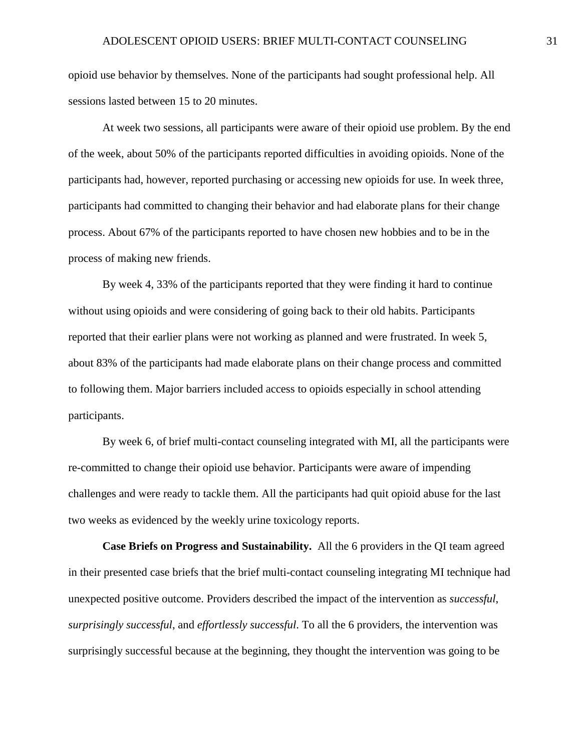opioid use behavior by themselves. None of the participants had sought professional help. All sessions lasted between 15 to 20 minutes.

At week two sessions, all participants were aware of their opioid use problem. By the end of the week, about 50% of the participants reported difficulties in avoiding opioids. None of the participants had, however, reported purchasing or accessing new opioids for use. In week three, participants had committed to changing their behavior and had elaborate plans for their change process. About 67% of the participants reported to have chosen new hobbies and to be in the process of making new friends.

By week 4, 33% of the participants reported that they were finding it hard to continue without using opioids and were considering of going back to their old habits. Participants reported that their earlier plans were not working as planned and were frustrated. In week 5, about 83% of the participants had made elaborate plans on their change process and committed to following them. Major barriers included access to opioids especially in school attending participants.

By week 6, of brief multi-contact counseling integrated with MI, all the participants were re-committed to change their opioid use behavior. Participants were aware of impending challenges and were ready to tackle them. All the participants had quit opioid abuse for the last two weeks as evidenced by the weekly urine toxicology reports.

<span id="page-31-0"></span>**Case Briefs on Progress and Sustainability.** All the 6 providers in the QI team agreed in their presented case briefs that the brief multi-contact counseling integrating MI technique had unexpected positive outcome. Providers described the impact of the intervention as *successful*, *surprisingly successful*, and *effortlessly successful*. To all the 6 providers, the intervention was surprisingly successful because at the beginning, they thought the intervention was going to be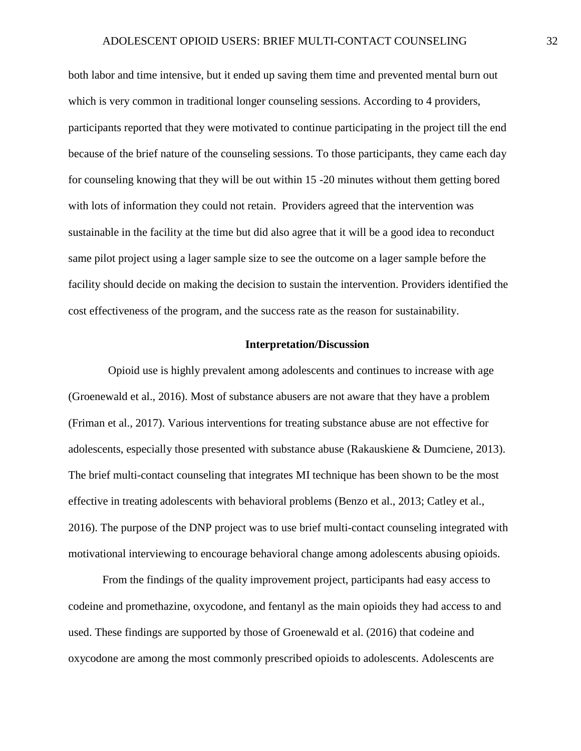both labor and time intensive, but it ended up saving them time and prevented mental burn out which is very common in traditional longer counseling sessions. According to 4 providers, participants reported that they were motivated to continue participating in the project till the end because of the brief nature of the counseling sessions. To those participants, they came each day for counseling knowing that they will be out within 15 -20 minutes without them getting bored with lots of information they could not retain. Providers agreed that the intervention was sustainable in the facility at the time but did also agree that it will be a good idea to reconduct same pilot project using a lager sample size to see the outcome on a lager sample before the facility should decide on making the decision to sustain the intervention. Providers identified the cost effectiveness of the program, and the success rate as the reason for sustainability.

## **Interpretation/Discussion**

<span id="page-32-0"></span> Opioid use is highly prevalent among adolescents and continues to increase with age (Groenewald et al., 2016). Most of substance abusers are not aware that they have a problem (Friman et al., 2017). Various interventions for treating substance abuse are not effective for adolescents, especially those presented with substance abuse (Rakauskiene & Dumciene, 2013). The brief multi-contact counseling that integrates MI technique has been shown to be the most effective in treating adolescents with behavioral problems (Benzo et al., 2013; Catley et al., 2016). The purpose of the DNP project was to use brief multi-contact counseling integrated with motivational interviewing to encourage behavioral change among adolescents abusing opioids.

From the findings of the quality improvement project, participants had easy access to codeine and promethazine, oxycodone, and fentanyl as the main opioids they had access to and used. These findings are supported by those of Groenewald et al. (2016) that codeine and oxycodone are among the most commonly prescribed opioids to adolescents. Adolescents are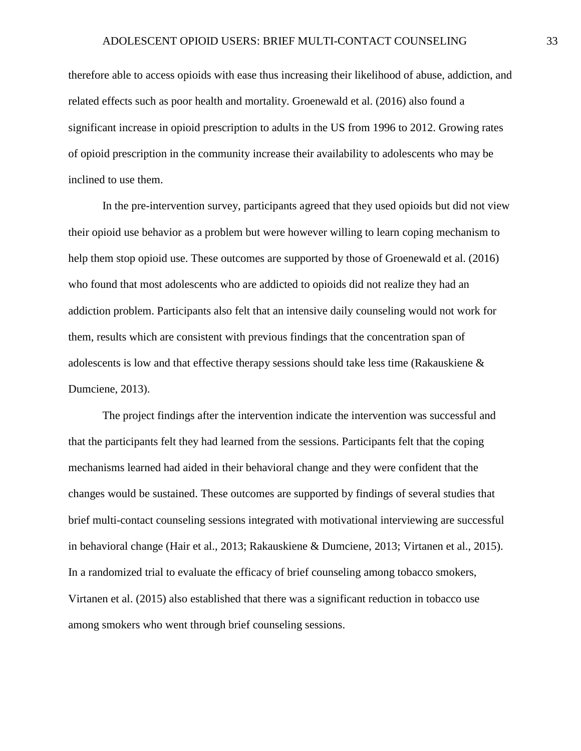therefore able to access opioids with ease thus increasing their likelihood of abuse, addiction, and related effects such as poor health and mortality. Groenewald et al. (2016) also found a significant increase in opioid prescription to adults in the US from 1996 to 2012. Growing rates of opioid prescription in the community increase their availability to adolescents who may be inclined to use them.

In the pre-intervention survey, participants agreed that they used opioids but did not view their opioid use behavior as a problem but were however willing to learn coping mechanism to help them stop opioid use. These outcomes are supported by those of Groenewald et al. (2016) who found that most adolescents who are addicted to opioids did not realize they had an addiction problem. Participants also felt that an intensive daily counseling would not work for them, results which are consistent with previous findings that the concentration span of adolescents is low and that effective therapy sessions should take less time (Rakauskiene & Dumciene, 2013).

The project findings after the intervention indicate the intervention was successful and that the participants felt they had learned from the sessions. Participants felt that the coping mechanisms learned had aided in their behavioral change and they were confident that the changes would be sustained. These outcomes are supported by findings of several studies that brief multi-contact counseling sessions integrated with motivational interviewing are successful in behavioral change (Hair et al., 2013; Rakauskiene & Dumciene, 2013; Virtanen et al., 2015). In a randomized trial to evaluate the efficacy of brief counseling among tobacco smokers, Virtanen et al. (2015) also established that there was a significant reduction in tobacco use among smokers who went through brief counseling sessions.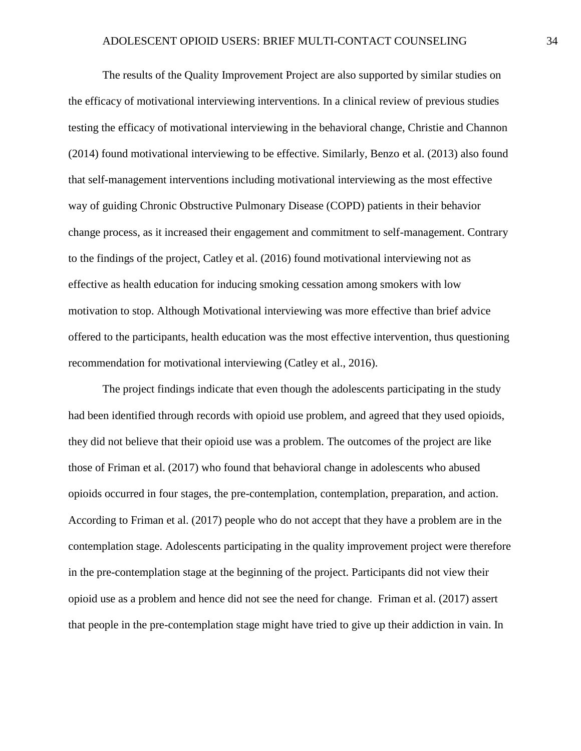The results of the Quality Improvement Project are also supported by similar studies on the efficacy of motivational interviewing interventions. In a clinical review of previous studies testing the efficacy of motivational interviewing in the behavioral change, Christie and Channon (2014) found motivational interviewing to be effective. Similarly, Benzo et al. (2013) also found that self-management interventions including motivational interviewing as the most effective way of guiding Chronic Obstructive Pulmonary Disease (COPD) patients in their behavior change process, as it increased their engagement and commitment to self-management. Contrary to the findings of the project, Catley et al. (2016) found motivational interviewing not as effective as health education for inducing smoking cessation among smokers with low motivation to stop. Although Motivational interviewing was more effective than brief advice offered to the participants, health education was the most effective intervention, thus questioning recommendation for motivational interviewing (Catley et al., 2016).

The project findings indicate that even though the adolescents participating in the study had been identified through records with opioid use problem, and agreed that they used opioids, they did not believe that their opioid use was a problem. The outcomes of the project are like those of Friman et al. (2017) who found that behavioral change in adolescents who abused opioids occurred in four stages, the pre-contemplation, contemplation, preparation, and action. According to Friman et al. (2017) people who do not accept that they have a problem are in the contemplation stage. Adolescents participating in the quality improvement project were therefore in the pre-contemplation stage at the beginning of the project. Participants did not view their opioid use as a problem and hence did not see the need for change. Friman et al. (2017) assert that people in the pre-contemplation stage might have tried to give up their addiction in vain. In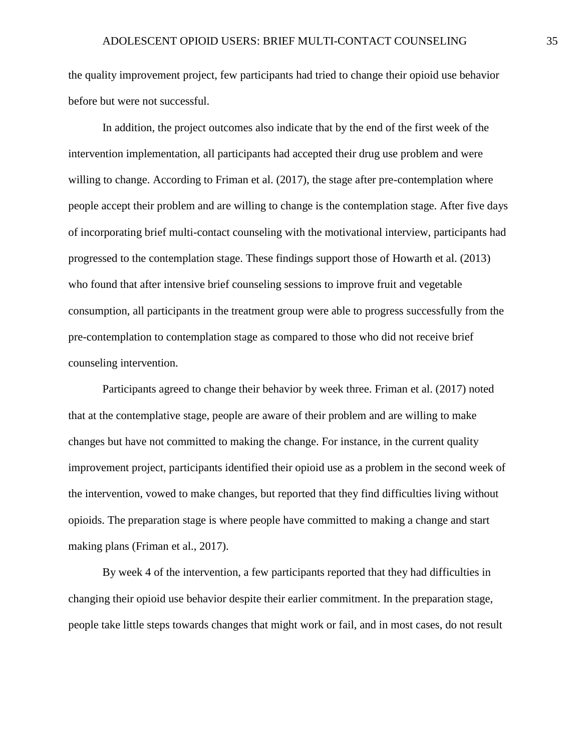the quality improvement project, few participants had tried to change their opioid use behavior before but were not successful.

In addition, the project outcomes also indicate that by the end of the first week of the intervention implementation, all participants had accepted their drug use problem and were willing to change. According to Friman et al. (2017), the stage after pre-contemplation where people accept their problem and are willing to change is the contemplation stage. After five days of incorporating brief multi-contact counseling with the motivational interview, participants had progressed to the contemplation stage. These findings support those of Howarth et al. (2013) who found that after intensive brief counseling sessions to improve fruit and vegetable consumption, all participants in the treatment group were able to progress successfully from the pre-contemplation to contemplation stage as compared to those who did not receive brief counseling intervention.

Participants agreed to change their behavior by week three. Friman et al. (2017) noted that at the contemplative stage, people are aware of their problem and are willing to make changes but have not committed to making the change. For instance, in the current quality improvement project, participants identified their opioid use as a problem in the second week of the intervention, vowed to make changes, but reported that they find difficulties living without opioids. The preparation stage is where people have committed to making a change and start making plans (Friman et al., 2017).

By week 4 of the intervention, a few participants reported that they had difficulties in changing their opioid use behavior despite their earlier commitment. In the preparation stage, people take little steps towards changes that might work or fail, and in most cases, do not result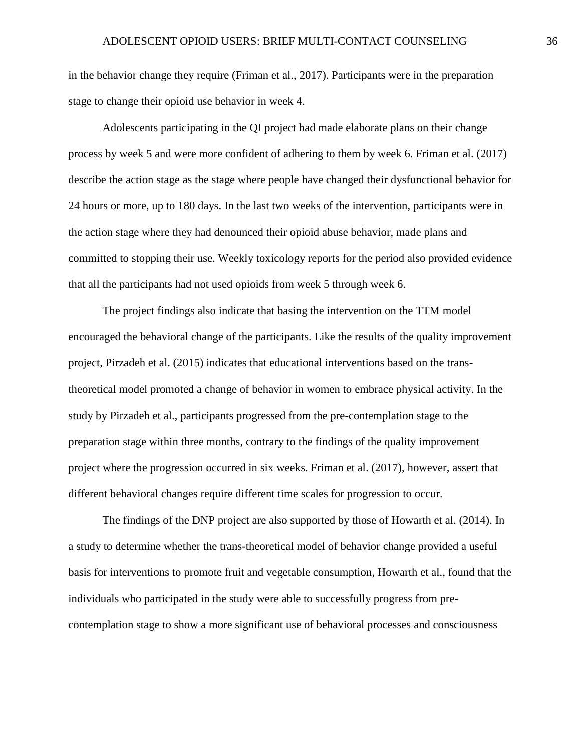in the behavior change they require (Friman et al., 2017). Participants were in the preparation stage to change their opioid use behavior in week 4.

Adolescents participating in the QI project had made elaborate plans on their change process by week 5 and were more confident of adhering to them by week 6. Friman et al. (2017) describe the action stage as the stage where people have changed their dysfunctional behavior for 24 hours or more, up to 180 days. In the last two weeks of the intervention, participants were in the action stage where they had denounced their opioid abuse behavior, made plans and committed to stopping their use. Weekly toxicology reports for the period also provided evidence that all the participants had not used opioids from week 5 through week 6.

The project findings also indicate that basing the intervention on the TTM model encouraged the behavioral change of the participants. Like the results of the quality improvement project, Pirzadeh et al. (2015) indicates that educational interventions based on the transtheoretical model promoted a change of behavior in women to embrace physical activity. In the study by Pirzadeh et al., participants progressed from the pre-contemplation stage to the preparation stage within three months, contrary to the findings of the quality improvement project where the progression occurred in six weeks. Friman et al. (2017), however, assert that different behavioral changes require different time scales for progression to occur.

The findings of the DNP project are also supported by those of Howarth et al. (2014). In a study to determine whether the trans-theoretical model of behavior change provided a useful basis for interventions to promote fruit and vegetable consumption, Howarth et al., found that the individuals who participated in the study were able to successfully progress from precontemplation stage to show a more significant use of behavioral processes and consciousness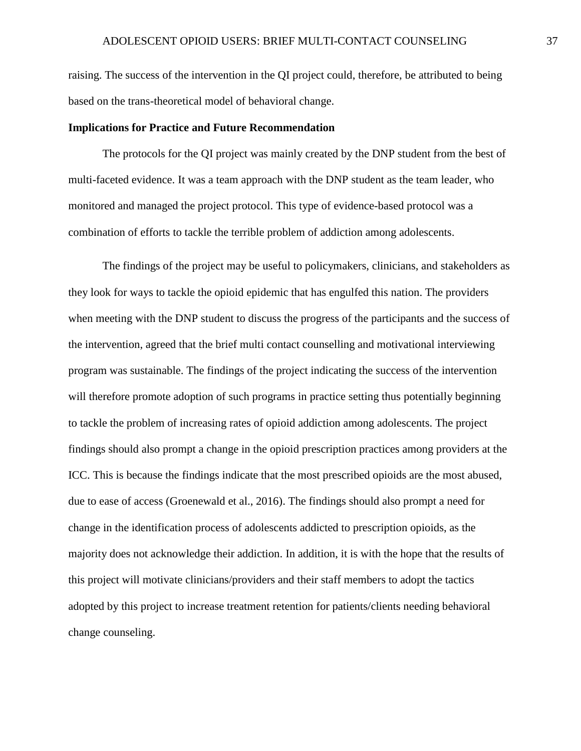raising. The success of the intervention in the QI project could, therefore, be attributed to being based on the trans-theoretical model of behavioral change.

#### <span id="page-37-0"></span>**Implications for Practice and Future Recommendation**

The protocols for the QI project was mainly created by the DNP student from the best of multi-faceted evidence. It was a team approach with the DNP student as the team leader, who monitored and managed the project protocol. This type of evidence-based protocol was a combination of efforts to tackle the terrible problem of addiction among adolescents.

The findings of the project may be useful to policymakers, clinicians, and stakeholders as they look for ways to tackle the opioid epidemic that has engulfed this nation. The providers when meeting with the DNP student to discuss the progress of the participants and the success of the intervention, agreed that the brief multi contact counselling and motivational interviewing program was sustainable. The findings of the project indicating the success of the intervention will therefore promote adoption of such programs in practice setting thus potentially beginning to tackle the problem of increasing rates of opioid addiction among adolescents. The project findings should also prompt a change in the opioid prescription practices among providers at the ICC. This is because the findings indicate that the most prescribed opioids are the most abused, due to ease of access (Groenewald et al., 2016). The findings should also prompt a need for change in the identification process of adolescents addicted to prescription opioids, as the majority does not acknowledge their addiction. In addition, it is with the hope that the results of this project will motivate clinicians/providers and their staff members to adopt the tactics adopted by this project to increase treatment retention for patients/clients needing behavioral change counseling.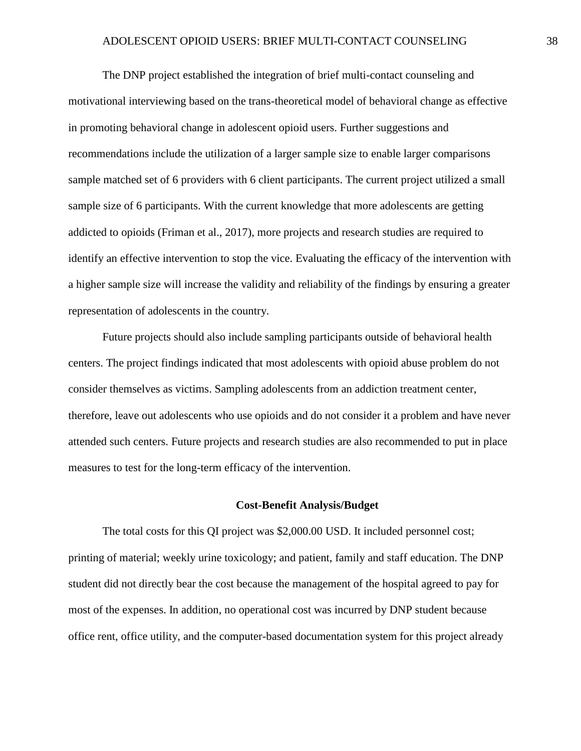The DNP project established the integration of brief multi-contact counseling and motivational interviewing based on the trans-theoretical model of behavioral change as effective in promoting behavioral change in adolescent opioid users. Further suggestions and recommendations include the utilization of a larger sample size to enable larger comparisons sample matched set of 6 providers with 6 client participants. The current project utilized a small sample size of 6 participants. With the current knowledge that more adolescents are getting addicted to opioids (Friman et al., 2017), more projects and research studies are required to identify an effective intervention to stop the vice. Evaluating the efficacy of the intervention with a higher sample size will increase the validity and reliability of the findings by ensuring a greater representation of adolescents in the country.

Future projects should also include sampling participants outside of behavioral health centers. The project findings indicated that most adolescents with opioid abuse problem do not consider themselves as victims. Sampling adolescents from an addiction treatment center, therefore, leave out adolescents who use opioids and do not consider it a problem and have never attended such centers. Future projects and research studies are also recommended to put in place measures to test for the long-term efficacy of the intervention.

#### **Cost-Benefit Analysis/Budget**

<span id="page-38-0"></span>The total costs for this QI project was \$2,000.00 USD. It included personnel cost; printing of material; weekly urine toxicology; and patient, family and staff education. The DNP student did not directly bear the cost because the management of the hospital agreed to pay for most of the expenses. In addition, no operational cost was incurred by DNP student because office rent, office utility, and the computer-based documentation system for this project already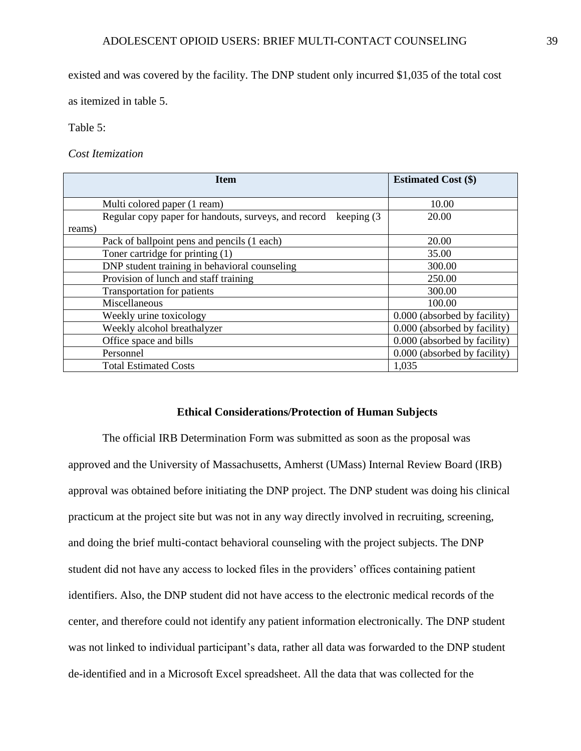existed and was covered by the facility. The DNP student only incurred \$1,035 of the total cost

as itemized in table 5.

Table 5:

*Cost Itemization*

| <b>Item</b>                                                           | <b>Estimated Cost (\$)</b>   |
|-----------------------------------------------------------------------|------------------------------|
| Multi colored paper (1 ream)                                          | 10.00                        |
| Regular copy paper for handouts, surveys, and record<br>keeping $(3)$ | 20.00                        |
| reams)                                                                |                              |
| Pack of ballpoint pens and pencils (1 each)                           | 20.00                        |
| Toner cartridge for printing (1)                                      | 35.00                        |
| DNP student training in behavioral counseling                         | 300.00                       |
| Provision of lunch and staff training                                 | 250.00                       |
| <b>Transportation for patients</b>                                    | 300.00                       |
| Miscellaneous                                                         | 100.00                       |
| Weekly urine toxicology                                               | 0.000 (absorbed by facility) |
| Weekly alcohol breathalyzer                                           | 0.000 (absorbed by facility) |
| Office space and bills                                                | 0.000 (absorbed by facility) |
| Personnel                                                             | 0.000 (absorbed by facility) |
| <b>Total Estimated Costs</b>                                          | 1,035                        |

# **Ethical Considerations/Protection of Human Subjects**

<span id="page-39-0"></span>The official IRB Determination Form was submitted as soon as the proposal was approved and the University of Massachusetts, Amherst (UMass) Internal Review Board (IRB) approval was obtained before initiating the DNP project. The DNP student was doing his clinical practicum at the project site but was not in any way directly involved in recruiting, screening, and doing the brief multi-contact behavioral counseling with the project subjects. The DNP student did not have any access to locked files in the providers' offices containing patient identifiers. Also, the DNP student did not have access to the electronic medical records of the center, and therefore could not identify any patient information electronically. The DNP student was not linked to individual participant's data, rather all data was forwarded to the DNP student de-identified and in a Microsoft Excel spreadsheet. All the data that was collected for the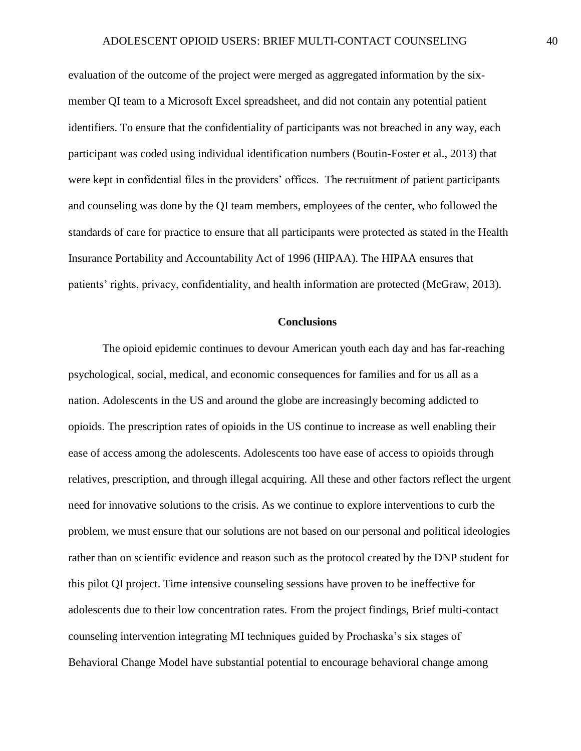evaluation of the outcome of the project were merged as aggregated information by the sixmember QI team to a Microsoft Excel spreadsheet, and did not contain any potential patient identifiers. To ensure that the confidentiality of participants was not breached in any way, each participant was coded using individual identification numbers (Boutin-Foster et al., 2013) that were kept in confidential files in the providers' offices. The recruitment of patient participants and counseling was done by the QI team members, employees of the center, who followed the standards of care for practice to ensure that all participants were protected as stated in the Health Insurance Portability and Accountability Act of 1996 (HIPAA). The HIPAA ensures that patients' rights, privacy, confidentiality, and health information are protected (McGraw, 2013).

#### **Conclusions**

<span id="page-40-0"></span>The opioid epidemic continues to devour American youth each day and has far-reaching psychological, social, medical, and economic consequences for families and for us all as a nation. Adolescents in the US and around the globe are increasingly becoming addicted to opioids. The prescription rates of opioids in the US continue to increase as well enabling their ease of access among the adolescents. Adolescents too have ease of access to opioids through relatives, prescription, and through illegal acquiring. All these and other factors reflect the urgent need for innovative solutions to the crisis. As we continue to explore interventions to curb the problem, we must ensure that our solutions are not based on our personal and political ideologies rather than on scientific evidence and reason such as the protocol created by the DNP student for this pilot QI project. Time intensive counseling sessions have proven to be ineffective for adolescents due to their low concentration rates. From the project findings, Brief multi-contact counseling intervention integrating MI techniques guided by Prochaska's six stages of Behavioral Change Model have substantial potential to encourage behavioral change among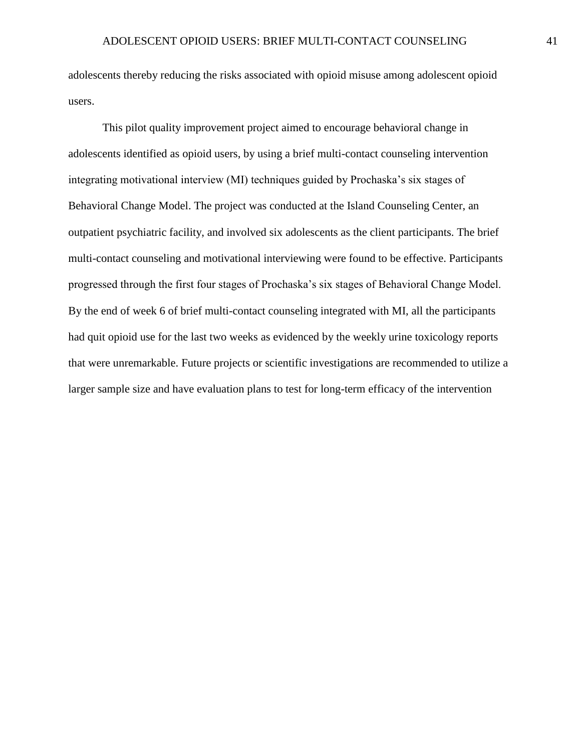adolescents thereby reducing the risks associated with opioid misuse among adolescent opioid users.

This pilot quality improvement project aimed to encourage behavioral change in adolescents identified as opioid users, by using a brief multi-contact counseling intervention integrating motivational interview (MI) techniques guided by Prochaska's six stages of Behavioral Change Model. The project was conducted at the Island Counseling Center, an outpatient psychiatric facility, and involved six adolescents as the client participants. The brief multi-contact counseling and motivational interviewing were found to be effective. Participants progressed through the first four stages of Prochaska's six stages of Behavioral Change Model. By the end of week 6 of brief multi-contact counseling integrated with MI, all the participants had quit opioid use for the last two weeks as evidenced by the weekly urine toxicology reports that were unremarkable. Future projects or scientific investigations are recommended to utilize a larger sample size and have evaluation plans to test for long-term efficacy of the intervention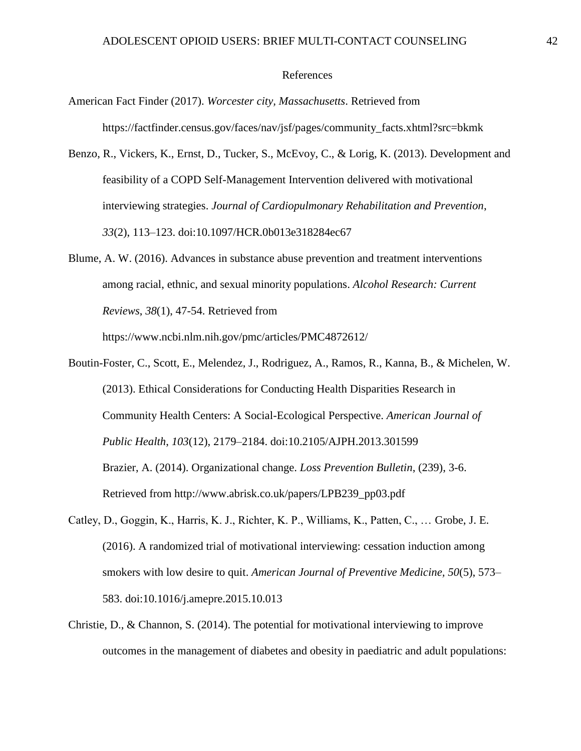#### References

- <span id="page-42-0"></span>American Fact Finder (2017). *Worcester city, Massachusetts*. Retrieved from https://factfinder.census.gov/faces/nav/jsf/pages/community\_facts.xhtml?src=bkmk
- Benzo, R., Vickers, K., Ernst, D., Tucker, S., McEvoy, C., & Lorig, K. (2013). Development and feasibility of a COPD Self-Management Intervention delivered with motivational interviewing strategies. *Journal of Cardiopulmonary Rehabilitation and Prevention*, *33*(2), 113–123. doi:10.1097/HCR.0b013e318284ec67
- Blume, A. W. (2016). Advances in substance abuse prevention and treatment interventions among racial, ethnic, and sexual minority populations. *Alcohol Research: Current Reviews*, *38*(1), 47-54. Retrieved from

https://www.ncbi.nlm.nih.gov/pmc/articles/PMC4872612/

- Boutin-Foster, C., Scott, E., Melendez, J., Rodriguez, A., Ramos, R., Kanna, B., & Michelen, W. (2013). Ethical Considerations for Conducting Health Disparities Research in Community Health Centers: A Social-Ecological Perspective. *American Journal of Public Health*, *103*(12), 2179–2184. doi:10.2105/AJPH.2013.301599 Brazier, A. (2014). Organizational change. *Loss Prevention Bulletin*, (239), 3-6. Retrieved from http://www.abrisk.co.uk/papers/LPB239\_pp03.pdf
- Catley, D., Goggin, K., Harris, K. J., Richter, K. P., Williams, K., Patten, C., … Grobe, J. E. (2016). A randomized trial of motivational interviewing: cessation induction among smokers with low desire to quit. *American Journal of Preventive Medicine, 50*(5), 573– 583. doi:10.1016/j.amepre.2015.10.013
- Christie, D., & Channon, S. (2014). The potential for motivational interviewing to improve outcomes in the management of diabetes and obesity in paediatric and adult populations: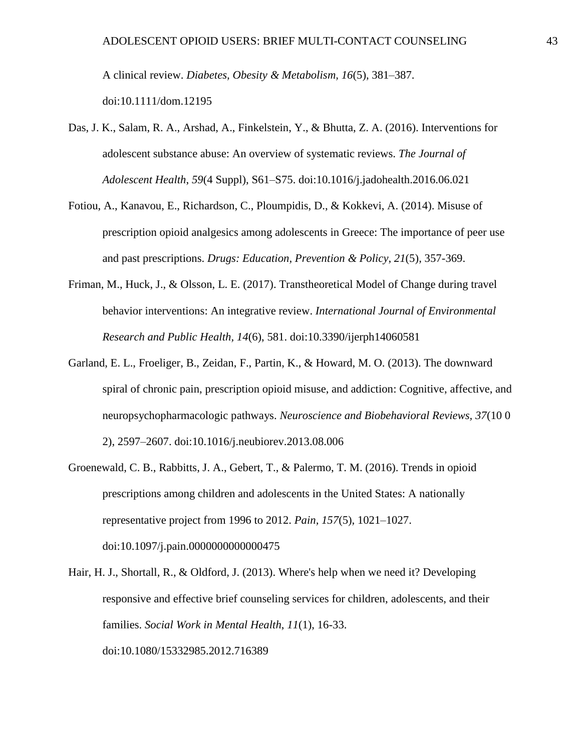A clinical review. *Diabetes, Obesity & Metabolism, 16*(5), 381–387. doi:10.1111/dom.12195

- Das, J. K., Salam, R. A., Arshad, A., Finkelstein, Y., & Bhutta, Z. A. (2016). Interventions for adolescent substance abuse: An overview of systematic reviews. *The Journal of Adolescent Health*, *59*(4 Suppl), S61–S75. doi:10.1016/j.jadohealth.2016.06.021
- Fotiou, A., Kanavou, E., Richardson, C., Ploumpidis, D., & Kokkevi, A. (2014). Misuse of prescription opioid analgesics among adolescents in Greece: The importance of peer use and past prescriptions. *Drugs: Education, Prevention & Policy*, *21*(5), 357-369.
- Friman, M., Huck, J., & Olsson, L. E. (2017). Transtheoretical Model of Change during travel behavior interventions: An integrative review. *International Journal of Environmental Research and Public Health, 14*(6), 581. doi:10.3390/ijerph14060581
- Garland, E. L., Froeliger, B., Zeidan, F., Partin, K., & Howard, M. O. (2013). The downward spiral of chronic pain, prescription opioid misuse, and addiction: Cognitive, affective, and neuropsychopharmacologic pathways. *Neuroscience and Biobehavioral Reviews, 37*(10 0 2), 2597–2607. doi:10.1016/j.neubiorev.2013.08.006
- Groenewald, C. B., Rabbitts, J. A., Gebert, T., & Palermo, T. M. (2016). Trends in opioid prescriptions among children and adolescents in the United States: A nationally representative project from 1996 to 2012. *Pain, 157*(5), 1021–1027. doi:10.1097/j.pain.0000000000000475
- Hair, H. J., Shortall, R., & Oldford, J. (2013). Where's help when we need it? Developing responsive and effective brief counseling services for children, adolescents, and their families. *Social Work in Mental Health*, *11*(1), 16-33. doi:10.1080/15332985.2012.716389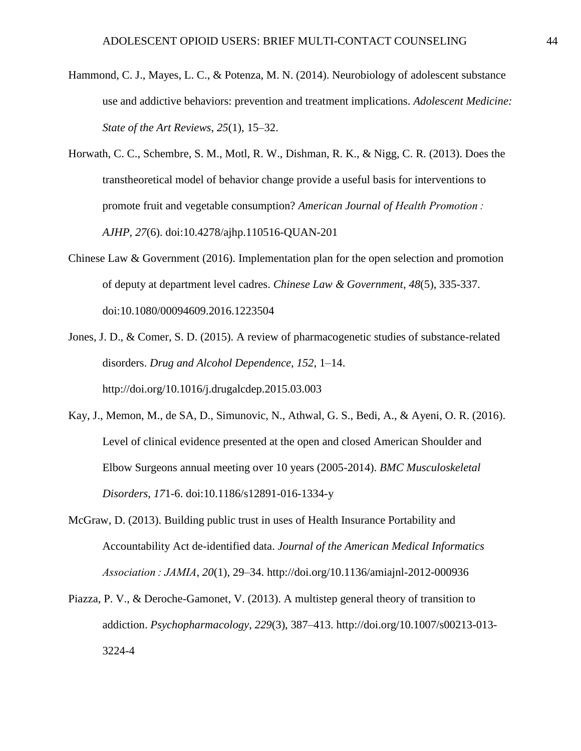- Hammond, C. J., Mayes, L. C., & Potenza, M. N. (2014). Neurobiology of adolescent substance use and addictive behaviors: prevention and treatment implications. *Adolescent Medicine: State of the Art Reviews*, *25*(1), 15–32.
- Horwath, C. C., Schembre, S. M., Motl, R. W., Dishman, R. K., & Nigg, C. R. (2013). Does the transtheoretical model of behavior change provide a useful basis for interventions to promote fruit and vegetable consumption? *American Journal of Health Promotion : AJHP, 27*(6). doi:10.4278/ajhp.110516-QUAN-201
- Chinese Law & Government (2016). Implementation plan for the open selection and promotion of deputy at department level cadres. *Chinese Law & Government*, *48*(5), 335-337. doi:10.1080/00094609.2016.1223504
- Jones, J. D., & Comer, S. D. (2015). A review of pharmacogenetic studies of substance-related disorders. *Drug and Alcohol Dependence, 152*, 1–14. http://doi.org/10.1016/j.drugalcdep.2015.03.003
- Kay, J., Memon, M., de SA, D., Simunovic, N., Athwal, G. S., Bedi, A., & Ayeni, O. R. (2016). Level of clinical evidence presented at the open and closed American Shoulder and Elbow Surgeons annual meeting over 10 years (2005-2014). *BMC Musculoskeletal Disorders*, *17*1-6. doi:10.1186/s12891-016-1334-y
- McGraw, D. (2013). Building public trust in uses of Health Insurance Portability and Accountability Act de-identified data. *Journal of the American Medical Informatics Association : JAMIA*, *20*(1), 29–34. http://doi.org/10.1136/amiajnl-2012-000936
- Piazza, P. V., & Deroche-Gamonet, V. (2013). A multistep general theory of transition to addiction. *Psychopharmacology*, *229*(3), 387–413. http://doi.org/10.1007/s00213-013- 3224-4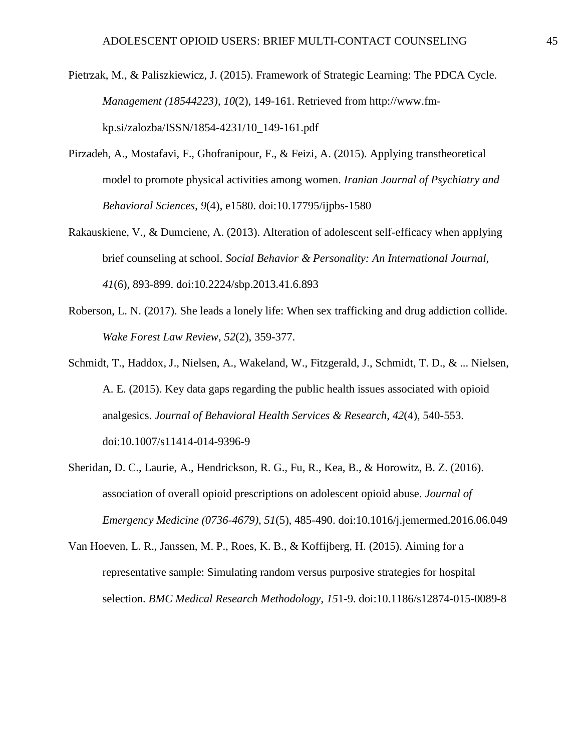Pietrzak, M., & Paliszkiewicz, J. (2015). Framework of Strategic Learning: The PDCA Cycle. *Management (18544223)*, *10*(2), 149-161. Retrieved from http://www.fmkp.si/zalozba/ISSN/1854-4231/10\_149-161.pdf

- Pirzadeh, A., Mostafavi, F., Ghofranipour, F., & Feizi, A. (2015). Applying transtheoretical model to promote physical activities among women. *Iranian Journal of Psychiatry and Behavioral Sciences*, *9*(4), e1580. doi:10.17795/ijpbs-1580
- Rakauskiene, V., & Dumciene, A. (2013). Alteration of adolescent self-efficacy when applying brief counseling at school. *Social Behavior & Personality: An International Journal*, *41*(6), 893-899. doi:10.2224/sbp.2013.41.6.893
- Roberson, L. N. (2017). She leads a lonely life: When sex trafficking and drug addiction collide. *Wake Forest Law Review*, *52*(2), 359-377.
- Schmidt, T., Haddox, J., Nielsen, A., Wakeland, W., Fitzgerald, J., Schmidt, T. D., & ... Nielsen, A. E. (2015). Key data gaps regarding the public health issues associated with opioid analgesics. *Journal of Behavioral Health Services & Research*, *42*(4), 540-553. doi:10.1007/s11414-014-9396-9
- Sheridan, D. C., Laurie, A., Hendrickson, R. G., Fu, R., Kea, B., & Horowitz, B. Z. (2016). association of overall opioid prescriptions on adolescent opioid abuse. *Journal of Emergency Medicine (0736-4679)*, *51*(5), 485-490. doi:10.1016/j.jemermed.2016.06.049

Van Hoeven, L. R., Janssen, M. P., Roes, K. B., & Koffijberg, H. (2015). Aiming for a representative sample: Simulating random versus purposive strategies for hospital selection. *BMC Medical Research Methodology*, *15*1-9. doi:10.1186/s12874-015-0089-8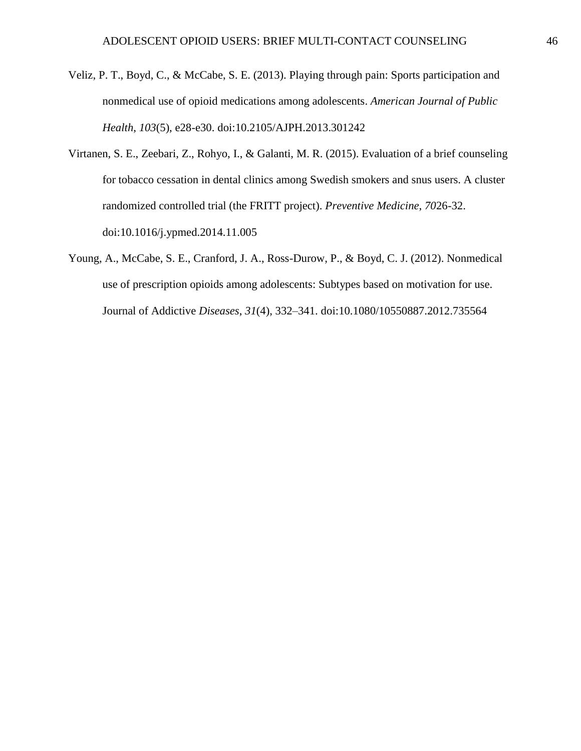- Veliz, P. T., Boyd, C., & McCabe, S. E. (2013). Playing through pain: Sports participation and nonmedical use of opioid medications among adolescents. *American Journal of Public Health*, *103*(5), e28-e30. doi:10.2105/AJPH.2013.301242
- Virtanen, S. E., Zeebari, Z., Rohyo, I., & Galanti, M. R. (2015). Evaluation of a brief counseling for tobacco cessation in dental clinics among Swedish smokers and snus users. A cluster randomized controlled trial (the FRITT project). *Preventive Medicine*, *70*26-32. doi:10.1016/j.ypmed.2014.11.005
- Young, A., McCabe, S. E., Cranford, J. A., Ross-Durow, P., & Boyd, C. J. (2012). Nonmedical use of prescription opioids among adolescents: Subtypes based on motivation for use. Journal of Addictive *Diseases*, *31*(4), 332–341. doi:10.1080/10550887.2012.735564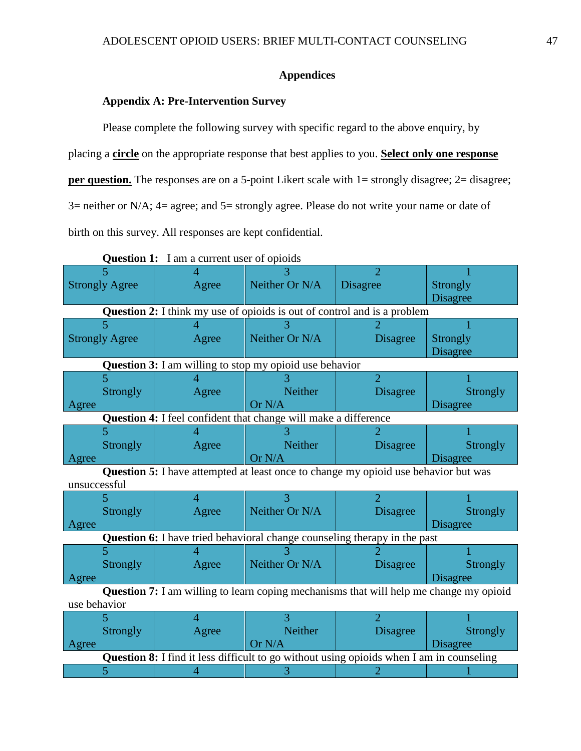# **Appendices**

# <span id="page-47-0"></span>**Appendix A: Pre-Intervention Survey**

<span id="page-47-1"></span>Please complete the following survey with specific regard to the above enquiry, by placing a **circle** on the appropriate response that best applies to you. **Select only one response per question.** The responses are on a 5-point Likert scale with 1= strongly disagree; 2= disagree; 3= neither or N/A; 4= agree; and 5= strongly agree. Please do not write your name or date of birth on this survey. All responses are kept confidential.

|                       | <b>Question 1:</b> I am a current user of opioids                                               |                |                             |                 |
|-----------------------|-------------------------------------------------------------------------------------------------|----------------|-----------------------------|-----------------|
|                       |                                                                                                 |                | $\mathcal{D}$               |                 |
| <b>Strongly Agree</b> | Agree                                                                                           | Neither Or N/A | <b>Disagree</b>             | <b>Strongly</b> |
|                       |                                                                                                 |                |                             | <b>Disagree</b> |
|                       | <b>Question 2:</b> I think my use of opioids is out of control and is a problem                 |                |                             |                 |
|                       |                                                                                                 |                |                             |                 |
| <b>Strongly Agree</b> | Agree                                                                                           | Neither Or N/A | <b>Disagree</b>             | Strongly        |
|                       |                                                                                                 |                |                             | <b>Disagree</b> |
|                       | <b>Question 3:</b> I am willing to stop my opioid use behavior                                  |                |                             |                 |
|                       |                                                                                                 |                | $\overline{2}$              |                 |
| <b>Strongly</b>       | Agree                                                                                           | Neither        | <b>Disagree</b>             | <b>Strongly</b> |
| Agree                 |                                                                                                 | Or N/A         |                             | <b>Disagree</b> |
|                       | Question 4: I feel confident that change will make a difference                                 |                |                             |                 |
|                       |                                                                                                 |                |                             |                 |
| <b>Strongly</b>       | Agree                                                                                           | Neither        | <b>Disagree</b>             | <b>Strongly</b> |
| Agree                 |                                                                                                 | Or N/A         |                             | <b>Disagree</b> |
|                       |                                                                                                 |                |                             |                 |
|                       | <b>Question 5:</b> I have attempted at least once to change my opioid use behavior but was      |                |                             |                 |
| unsuccessful          |                                                                                                 |                |                             |                 |
| 5.                    | Δ                                                                                               |                | $\mathcal{D}_{\mathcal{L}}$ |                 |
| <b>Strongly</b>       | Agree                                                                                           | Neither Or N/A | <b>Disagree</b>             | Strongly        |
| Agree                 |                                                                                                 |                |                             | <b>Disagree</b> |
|                       | Question 6: I have tried behavioral change counseling therapy in the past                       |                |                             |                 |
|                       |                                                                                                 |                |                             |                 |
| Strongly              | Agree                                                                                           | Neither Or N/A | <b>Disagree</b>             | <b>Strongly</b> |
| Agree                 |                                                                                                 |                |                             | <b>Disagree</b> |
|                       |                                                                                                 |                |                             |                 |
| use behavior          | Question 7: I am willing to learn coping mechanisms that will help me change my opioid          |                |                             |                 |
|                       | $\overline{4}$                                                                                  |                | $\mathcal{D}_{\mathcal{L}}$ |                 |
| <b>Strongly</b>       | Agree                                                                                           | <b>Neither</b> | <b>Disagree</b>             | <b>Strongly</b> |
| Agree                 |                                                                                                 | Or N/A         |                             | <b>Disagree</b> |
|                       | <b>Question 8:</b> I find it less difficult to go without using opioids when I am in counseling |                |                             |                 |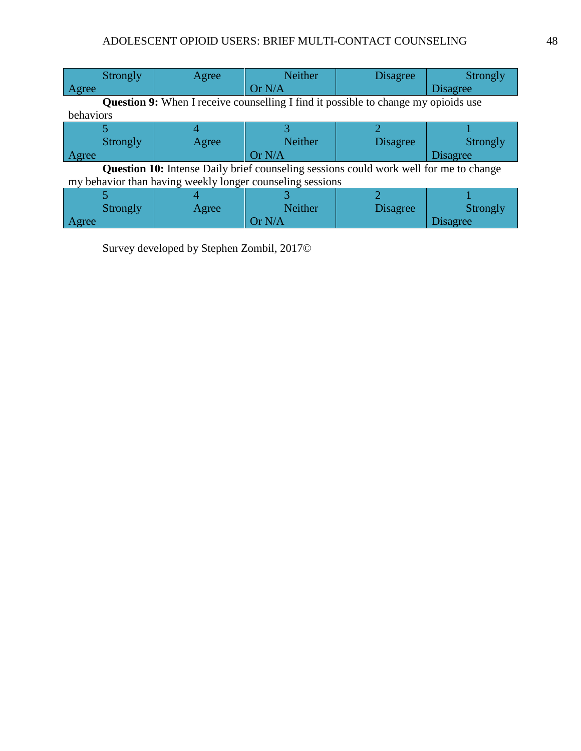| <b>Strongly</b>                                                                           | Agree | <b>Neither</b> | <b>Disagree</b> | Strongly        |  |  |  |  |
|-------------------------------------------------------------------------------------------|-------|----------------|-----------------|-----------------|--|--|--|--|
| Agree                                                                                     |       | Or N/A         |                 | <b>Disagree</b> |  |  |  |  |
| <b>Question 9:</b> When I receive counselling I find it possible to change my opioids use |       |                |                 |                 |  |  |  |  |
| behaviors                                                                                 |       |                |                 |                 |  |  |  |  |
|                                                                                           |       |                |                 |                 |  |  |  |  |
| Strongly                                                                                  | Agree | <b>Neither</b> | <b>Disagree</b> | <b>Strongly</b> |  |  |  |  |
| Agree                                                                                     |       | Or N/A         |                 | <b>Disagree</b> |  |  |  |  |
| Question 10: Intense Daily brief counseling sessions could work well for me to change     |       |                |                 |                 |  |  |  |  |
| my behavior than having weekly longer counseling sessions                                 |       |                |                 |                 |  |  |  |  |
|                                                                                           |       |                |                 |                 |  |  |  |  |
| Strongly                                                                                  | Agree | <b>Neither</b> | <b>Disagree</b> | Strongly        |  |  |  |  |
| Agree                                                                                     |       | Or $N/A$       |                 | <b>Disagree</b> |  |  |  |  |

Survey developed by Stephen Zombil, 2017©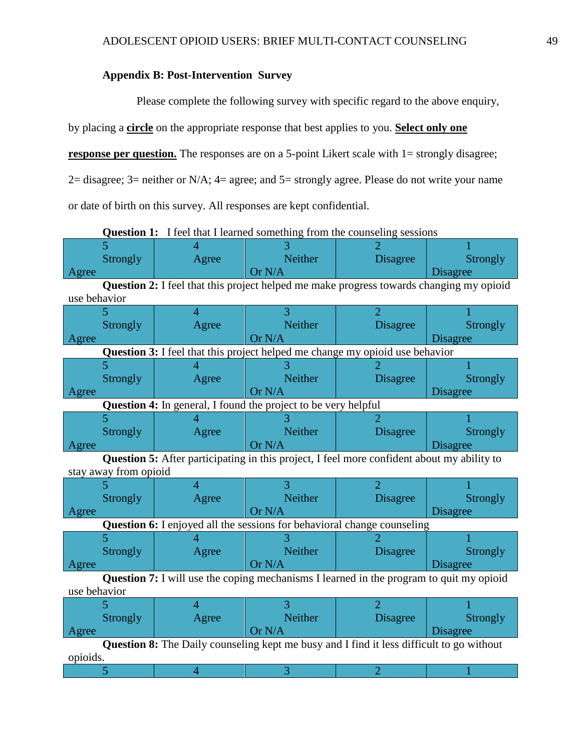# <span id="page-49-0"></span>**Appendix B: Post-Intervention Survey**

Please complete the following survey with specific regard to the above enquiry,

by placing a **circle** on the appropriate response that best applies to you. **Select only one** 

**response per question.** The responses are on a 5-point Likert scale with 1= strongly disagree;

2= disagree; 3= neither or N/A; 4= agree; and 5= strongly agree. Please do not write your name

or date of birth on this survey. All responses are kept confidential.

|                                                                                                 | 5                                                                                              |                                                                                     |                |                 |                 |  |  |  |  |
|-------------------------------------------------------------------------------------------------|------------------------------------------------------------------------------------------------|-------------------------------------------------------------------------------------|----------------|-----------------|-----------------|--|--|--|--|
|                                                                                                 | <b>Strongly</b>                                                                                | Agree                                                                               | <b>Neither</b> | <b>Disagree</b> | Strongly        |  |  |  |  |
| Agree                                                                                           |                                                                                                |                                                                                     | Or N/A         |                 | <b>Disagree</b> |  |  |  |  |
|                                                                                                 | <b>Question 2:</b> I feel that this project helped me make progress towards changing my opioid |                                                                                     |                |                 |                 |  |  |  |  |
| use behavior                                                                                    |                                                                                                |                                                                                     |                |                 |                 |  |  |  |  |
|                                                                                                 |                                                                                                | 4                                                                                   | 3              | $\overline{2}$  |                 |  |  |  |  |
|                                                                                                 | <b>Strongly</b>                                                                                | Agree                                                                               | <b>Neither</b> | <b>Disagree</b> | <b>Strongly</b> |  |  |  |  |
| Agree                                                                                           |                                                                                                |                                                                                     | Or N/A         |                 | <b>Disagree</b> |  |  |  |  |
|                                                                                                 |                                                                                                | <b>Question 3:</b> I feel that this project helped me change my opioid use behavior |                |                 |                 |  |  |  |  |
|                                                                                                 |                                                                                                |                                                                                     |                |                 |                 |  |  |  |  |
|                                                                                                 | <b>Strongly</b>                                                                                | Agree                                                                               | Neither        | <b>Disagree</b> | <b>Strongly</b> |  |  |  |  |
| Agree                                                                                           |                                                                                                |                                                                                     | Or N/A         |                 | <b>Disagree</b> |  |  |  |  |
| <b>Question 4:</b> In general, I found the project to be very helpful                           |                                                                                                |                                                                                     |                |                 |                 |  |  |  |  |
|                                                                                                 |                                                                                                |                                                                                     |                |                 |                 |  |  |  |  |
|                                                                                                 | Strongly                                                                                       | Agree                                                                               | <b>Neither</b> | <b>Disagree</b> | Strongly        |  |  |  |  |
| Agree                                                                                           |                                                                                                |                                                                                     | Or N/A         |                 | Disagree        |  |  |  |  |
| Question 5: After participating in this project, I feel more confident about my ability to      |                                                                                                |                                                                                     |                |                 |                 |  |  |  |  |
| stay away from opioid                                                                           |                                                                                                |                                                                                     |                |                 |                 |  |  |  |  |
|                                                                                                 |                                                                                                |                                                                                     |                | $\overline{2}$  |                 |  |  |  |  |
|                                                                                                 | <b>Strongly</b>                                                                                | Agree                                                                               | <b>Neither</b> | <b>Disagree</b> | <b>Strongly</b> |  |  |  |  |
| Agree                                                                                           |                                                                                                |                                                                                     | Or N/A         |                 | <b>Disagree</b> |  |  |  |  |
|                                                                                                 |                                                                                                | <b>Question 6:</b> I enjoyed all the sessions for behavioral change counseling      |                |                 |                 |  |  |  |  |
|                                                                                                 |                                                                                                |                                                                                     |                |                 |                 |  |  |  |  |
|                                                                                                 | Strongly                                                                                       | Agree                                                                               | Neither        | <b>Disagree</b> | <b>Strongly</b> |  |  |  |  |
| Agree                                                                                           |                                                                                                |                                                                                     | Or N/A         |                 | Disagree        |  |  |  |  |
| <b>Question 7:</b> I will use the coping mechanisms I learned in the program to quit my opioid  |                                                                                                |                                                                                     |                |                 |                 |  |  |  |  |
| use behavior                                                                                    |                                                                                                |                                                                                     |                |                 |                 |  |  |  |  |
|                                                                                                 |                                                                                                | 4                                                                                   |                | $\overline{2}$  |                 |  |  |  |  |
|                                                                                                 | Strongly                                                                                       | Agree                                                                               | <b>Neither</b> | <b>Disagree</b> | <b>Strongly</b> |  |  |  |  |
| Agree                                                                                           |                                                                                                |                                                                                     | Or N/A         |                 | <b>Disagree</b> |  |  |  |  |
| <b>Question 8:</b> The Daily counseling kept me busy and I find it less difficult to go without |                                                                                                |                                                                                     |                |                 |                 |  |  |  |  |
| opioids.                                                                                        |                                                                                                |                                                                                     |                |                 |                 |  |  |  |  |
|                                                                                                 | 5                                                                                              | 4                                                                                   | 3              | 2               |                 |  |  |  |  |

**Question 1:** I feel that I learned something from the counseling sessions